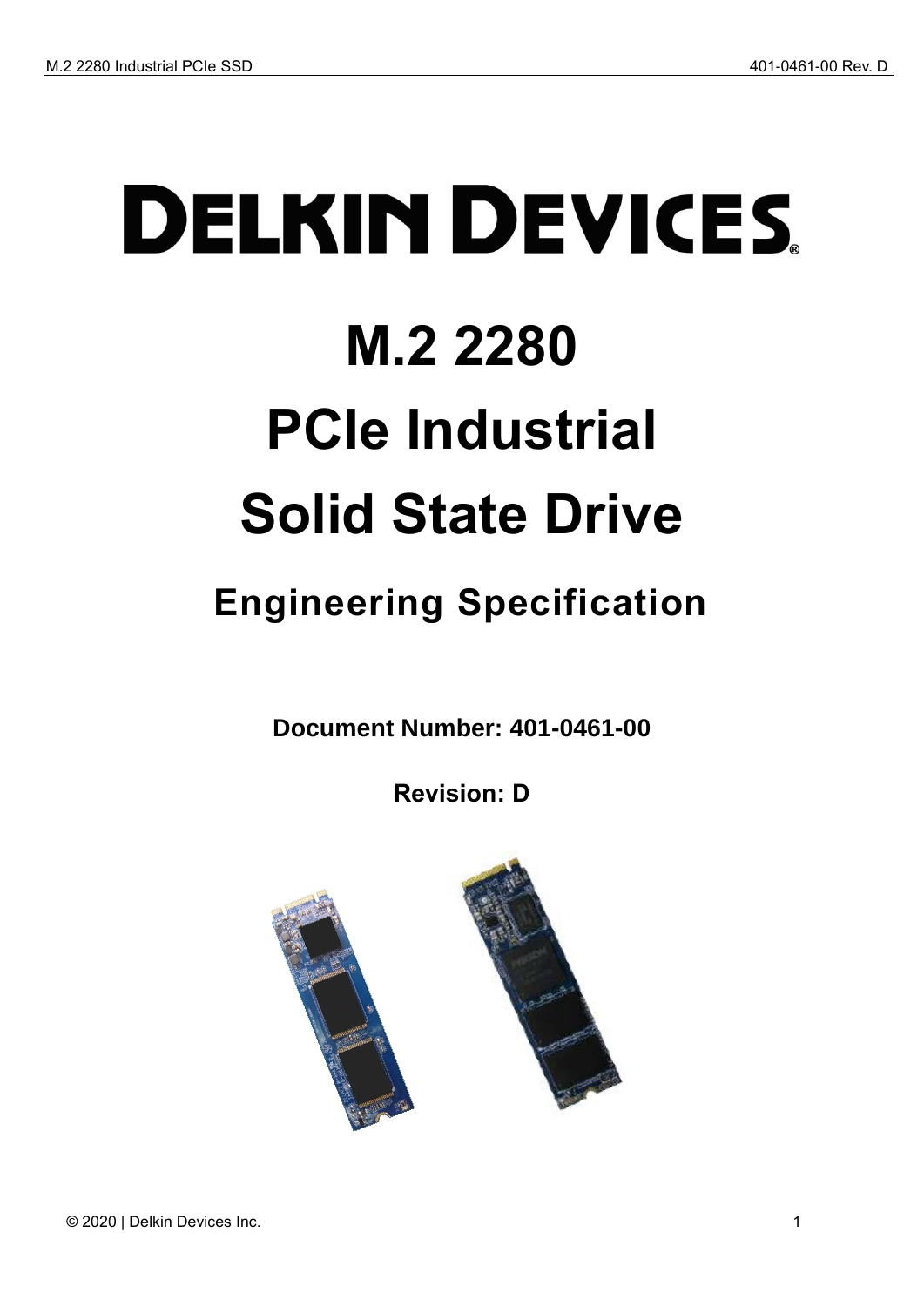# **DELKIN DEVICES M.2 2280 PCIe Industrial Solid State Drive**

## <span id="page-0-0"></span>**Engineering Specification**

**Document Number: 401-0461-00**

**Revision: D**

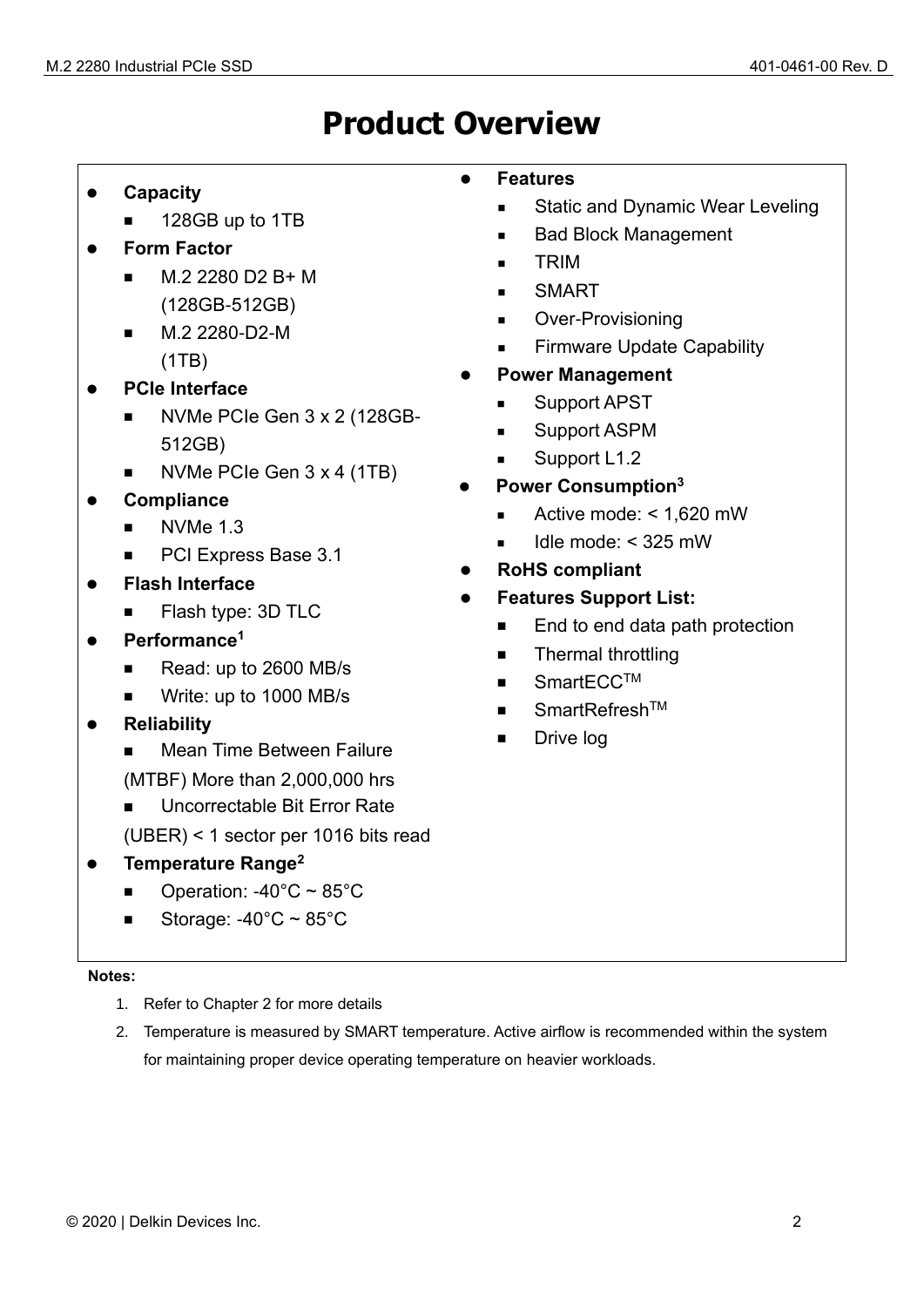## **Product Overview**

- ⚫ **Capacity**
	- 128GB up to 1TB
- ⚫ **Form Factor**
	- M.2 2280 D2 B+ M (128GB-512GB)
	- M.2 2280-D2-M (1TB)
- ⚫ **PCIe Interface**
	- NVMe PCIe Gen 3 x 2 (128GB-512GB)
	- NVMe PCIe Gen 3 x 4 (1TB)
- ⚫ **Compliance**
	- NVMe 1.3
	- PCI Express Base 3.1
- ⚫ **Flash Interface**
	- Flash type: 3D TLC
- ⚫ **Performance<sup>1</sup>**
	- Read: up to 2600 MB/s
	- Write: up to 1000 MB/s
- ⚫ **Reliability**
	- **Mean Time Between Failure**
	- (MTBF) More than 2,000,000 hrs
	- Uncorrectable Bit Error Rate
	- (UBER) < 1 sector per 1016 bits read
- ⚫ **Temperature Range<sup>2</sup>**
	- Operation:  $-40^{\circ}$ C ~ 85 $^{\circ}$ C
	- Storage:  $-40^{\circ}$ C ~ 85 $^{\circ}$ C

#### **Notes:**

- 1. Refer to Chapter 2 for more details
- 2. Temperature is measured by SMART temperature. Active airflow is recommended within the system for maintaining proper device operating temperature on heavier workloads.

#### ⚫ **Features**

- Static and Dynamic Wear Leveling
- **Bad Block Management**
- TRIM
- **SMART**
- Over-Provisioning
- **Firmware Update Capability**
- ⚫ **Power Management**
	- Support APST
	- Support ASPM
	- Support L1.2
- ⚫ **Power Consumption<sup>3</sup>**
	- Active mode: < 1,620 mW
	- $\blacksquare$  Idle mode: < 325 mW
- ⚫ **RoHS compliant**
- ⚫ **Features Support List:**
	- End to end data path protection
	- Thermal throttling
	- SmartECC<sup>TM</sup>
	- SmartRefresh™
	- Drive log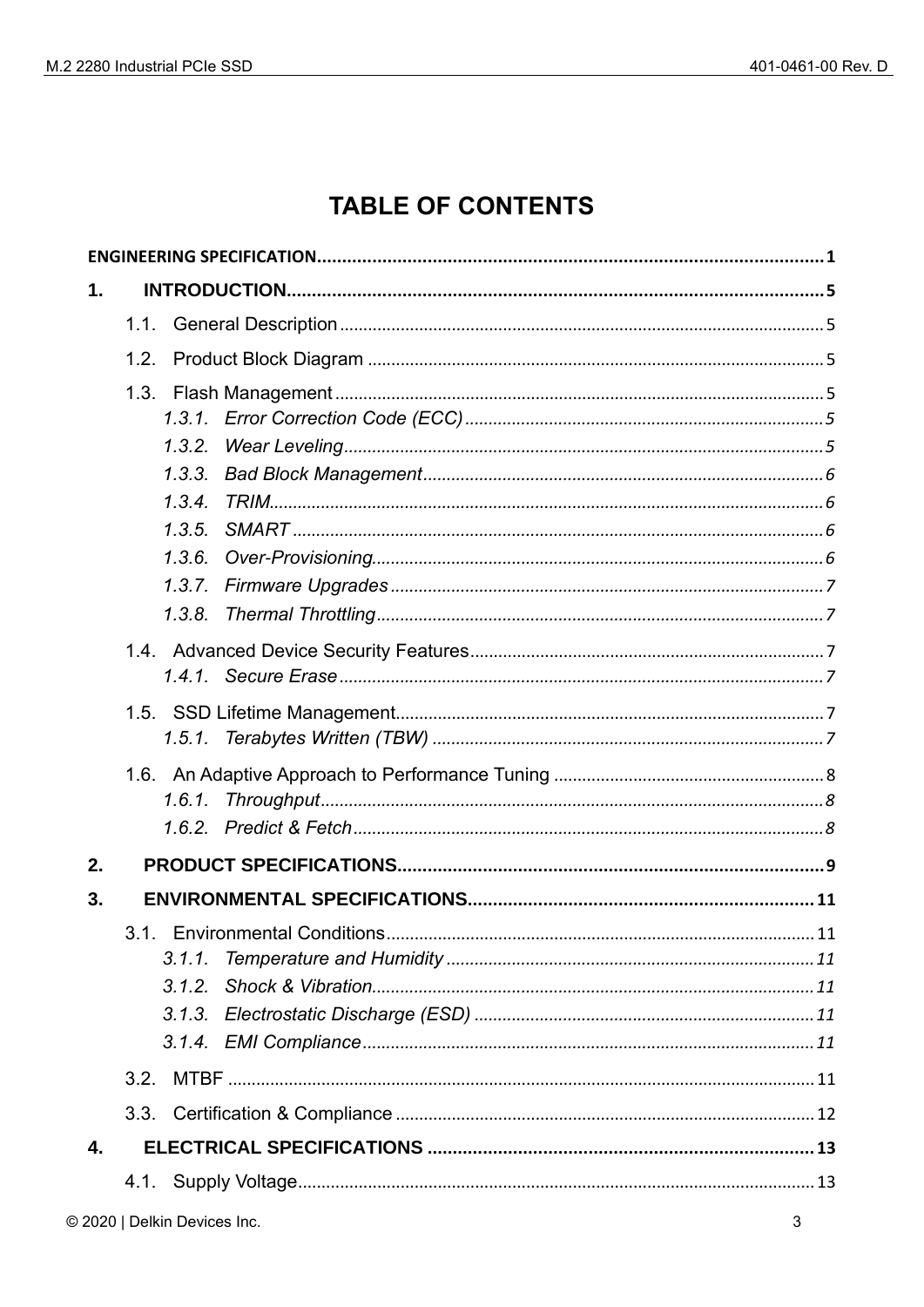## **TABLE OF CONTENTS**

| 1. |        |
|----|--------|
|    | 1.1.   |
|    | 1.2.   |
|    |        |
|    |        |
|    | 1.3.2. |
|    | 1.3.3. |
|    | 1.3.4. |
|    | 1.3.5. |
|    | 1.3.6. |
|    | 1.3.7. |
|    | 1.3.8. |
|    |        |
|    |        |
|    |        |
|    |        |
|    |        |
|    | 1.6.1. |
|    |        |
| 2. |        |
| 3. |        |
|    |        |
|    | 3.1.1. |
|    |        |
|    |        |
|    |        |
|    |        |
|    | 3.3.   |
| 4. |        |
|    |        |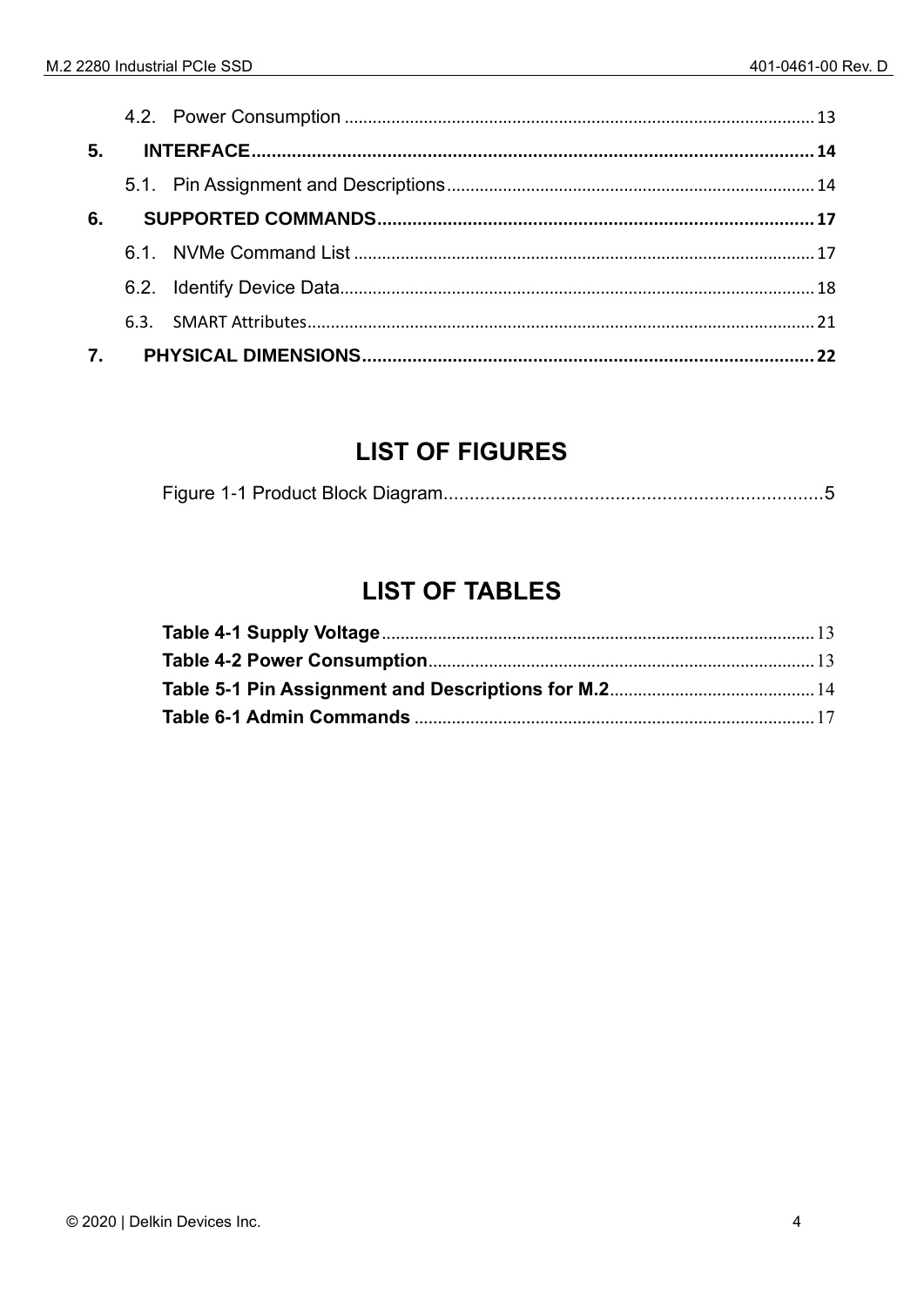| 5. |  |  |
|----|--|--|
|    |  |  |
| 6. |  |  |
|    |  |  |
|    |  |  |
|    |  |  |
|    |  |  |

## **LIST OF FIGURES**

|--|--|--|

## **LIST OF TABLES**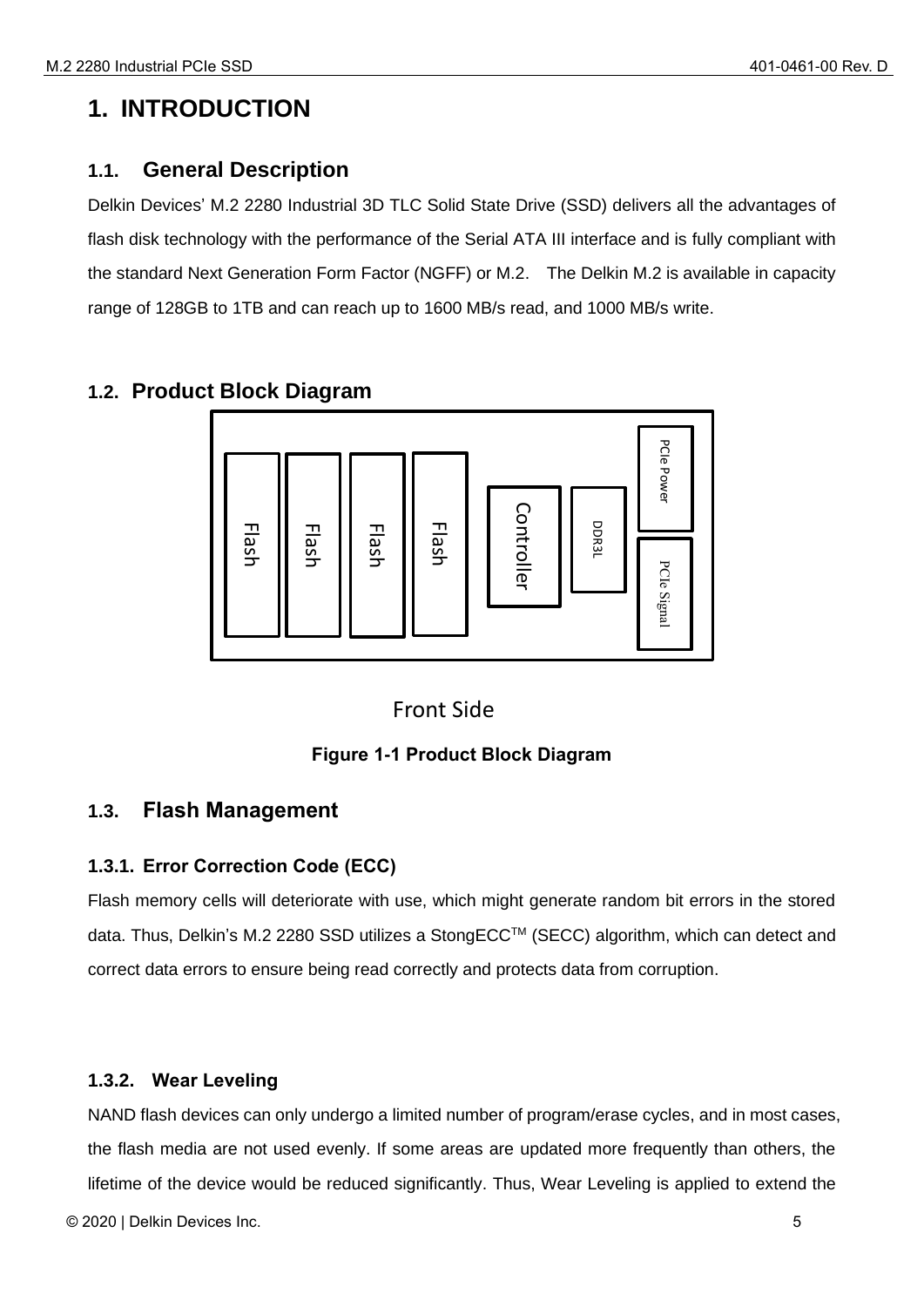## <span id="page-4-0"></span>**1. INTRODUCTION**

#### <span id="page-4-1"></span>**1.1. General Description**

Delkin Devices' M.2 2280 Industrial 3D TLC Solid State Drive (SSD) delivers all the advantages of flash disk technology with the performance of the Serial ATA III interface and is fully compliant with the standard Next Generation Form Factor (NGFF) or M.2. The Delkin M.2 is available in capacity range of 128GB to 1TB and can reach up to 1600 MB/s read, and 1000 MB/s write.

#### <span id="page-4-2"></span>**1.2. Product Block Diagram**



#### Front Side

#### **Figure 1-1 Product Block Diagram**

#### <span id="page-4-6"></span><span id="page-4-3"></span>**1.3. Flash Management**

#### <span id="page-4-4"></span>**1.3.1. Error Correction Code (ECC)**

Flash memory cells will deteriorate with use, which might generate random bit errors in the stored data. Thus, Delkin's M.2 2280 SSD utilizes a StongECCTM (SECC) algorithm, which can detect and correct data errors to ensure being read correctly and protects data from corruption.

#### <span id="page-4-5"></span>**1.3.2. Wear Leveling**

NAND flash devices can only undergo a limited number of program/erase cycles, and in most cases, the flash media are not used evenly. If some areas are updated more frequently than others, the

© 2020 | Delkin Devices Inc. 5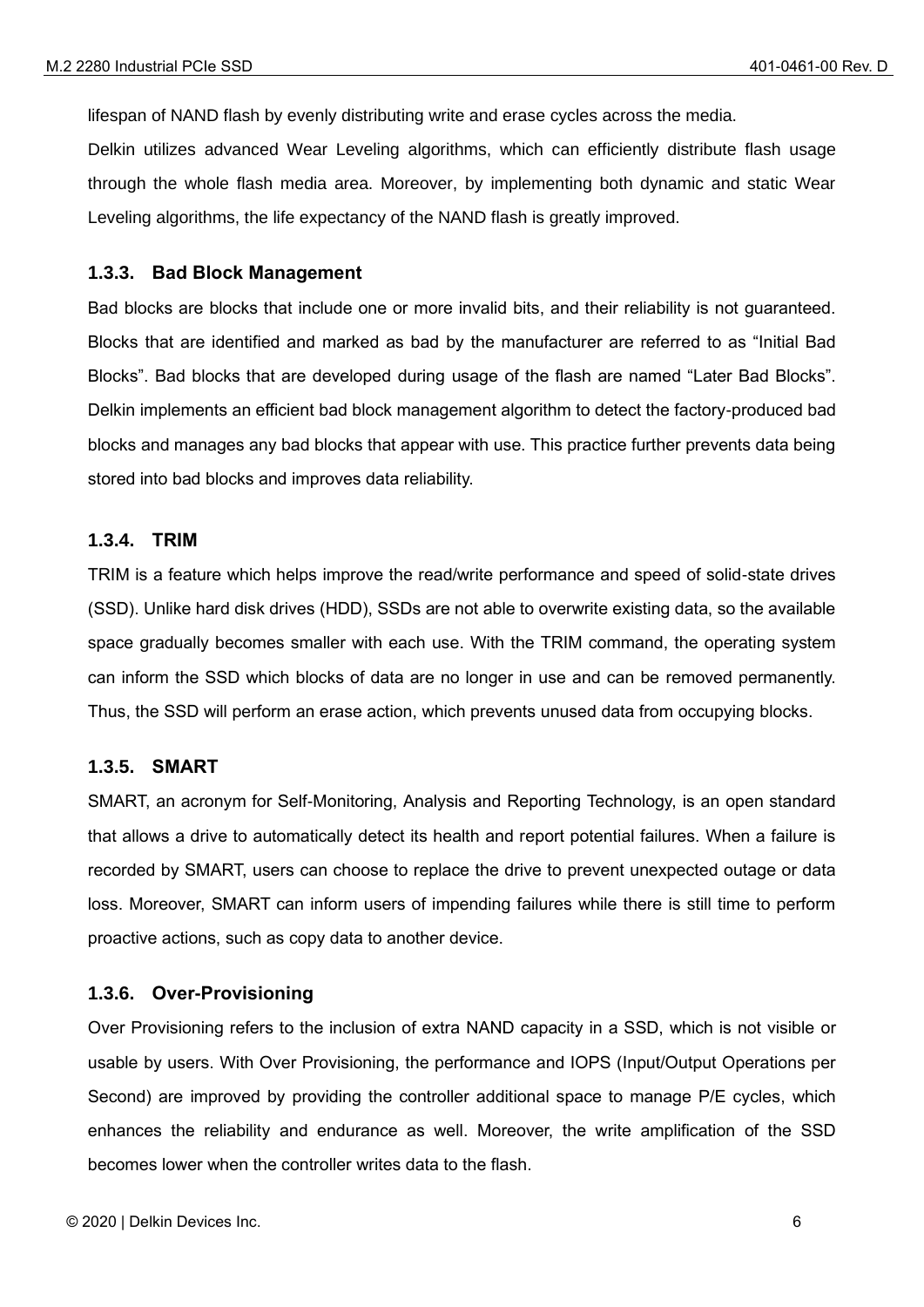lifespan of NAND flash by evenly distributing write and erase cycles across the media.

Delkin utilizes advanced Wear Leveling algorithms, which can efficiently distribute flash usage through the whole flash media area. Moreover, by implementing both dynamic and static Wear Leveling algorithms, the life expectancy of the NAND flash is greatly improved.

#### <span id="page-5-0"></span>**1.3.3. Bad Block Management**

Bad blocks are blocks that include one or more invalid bits, and their reliability is not guaranteed. Blocks that are identified and marked as bad by the manufacturer are referred to as "Initial Bad Blocks". Bad blocks that are developed during usage of the flash are named "Later Bad Blocks". Delkin implements an efficient bad block management algorithm to detect the factory-produced bad blocks and manages any bad blocks that appear with use. This practice further prevents data being stored into bad blocks and improves data reliability.

#### <span id="page-5-1"></span>**1.3.4. TRIM**

TRIM is a feature which helps improve the read/write performance and speed of solid-state drives (SSD). Unlike hard disk drives (HDD), SSDs are not able to overwrite existing data, so the available space gradually becomes smaller with each use. With the TRIM command, the operating system can inform the SSD which blocks of data are no longer in use and can be removed permanently. Thus, the SSD will perform an erase action, which prevents unused data from occupying blocks.

#### <span id="page-5-2"></span>**1.3.5. SMART**

SMART, an acronym for Self-Monitoring, Analysis and Reporting Technology, is an open standard that allows a drive to automatically detect its health and report potential failures. When a failure is recorded by SMART, users can choose to replace the drive to prevent unexpected outage or data loss. Moreover, SMART can inform users of impending failures while there is still time to perform proactive actions, such as copy data to another device.

#### <span id="page-5-3"></span>**1.3.6. Over-Provisioning**

Over Provisioning refers to the inclusion of extra NAND capacity in a SSD, which is not visible or usable by users. With Over Provisioning, the performance and IOPS (Input/Output Operations per Second) are improved by providing the controller additional space to manage P/E cycles, which enhances the reliability and endurance as well. Moreover, the write amplification of the SSD becomes lower when the controller writes data to the flash.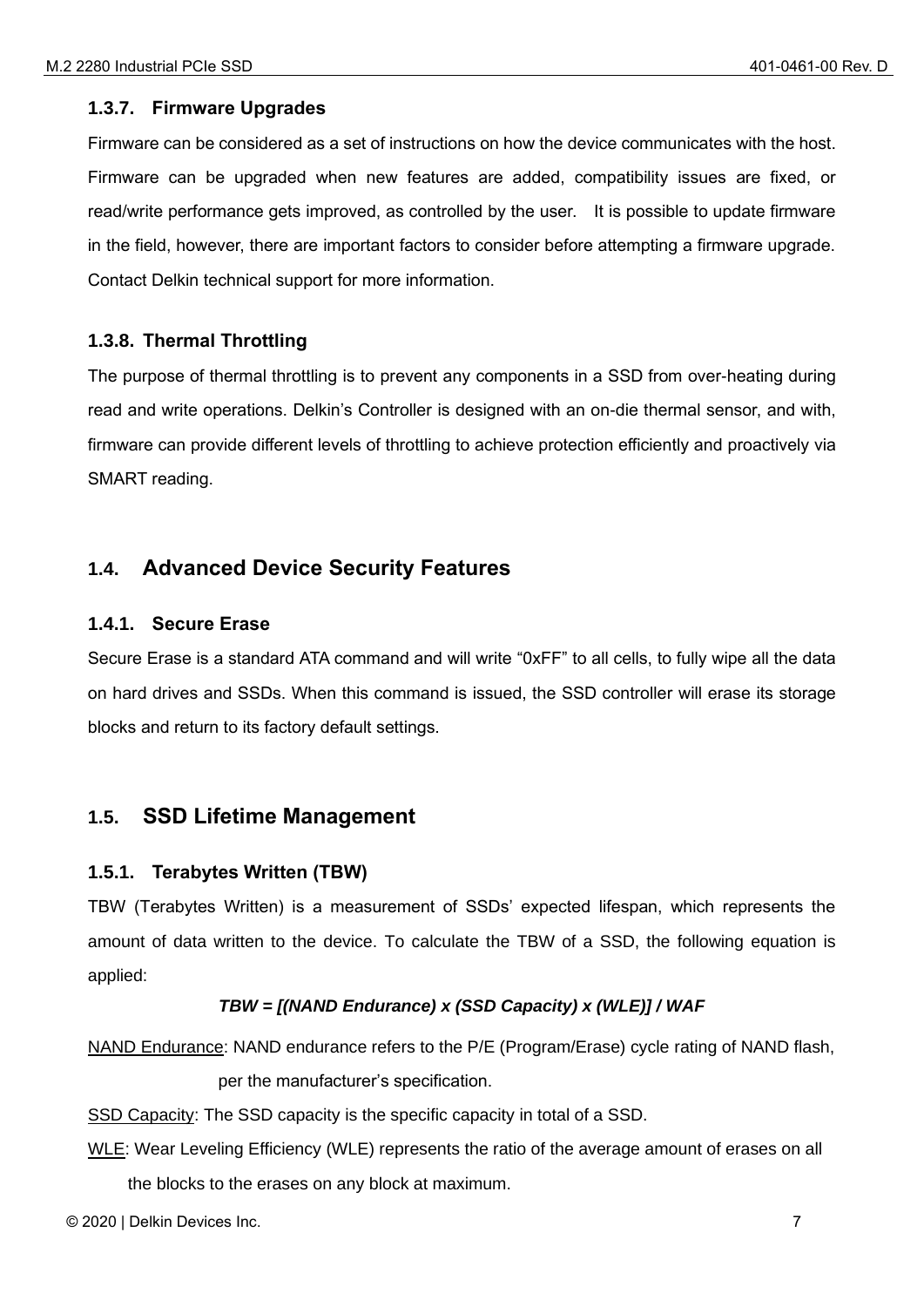#### <span id="page-6-0"></span>**1.3.7. Firmware Upgrades**

Firmware can be considered as a set of instructions on how the device communicates with the host. Firmware can be upgraded when new features are added, compatibility issues are fixed, or read/write performance gets improved, as controlled by the user. It is possible to update firmware in the field, however, there are important factors to consider before attempting a firmware upgrade. Contact Delkin technical support for more information.

#### <span id="page-6-1"></span>**1.3.8. Thermal Throttling**

The purpose of thermal throttling is to prevent any components in a SSD from over-heating during read and write operations. Delkin's Controller is designed with an on-die thermal sensor, and with, firmware can provide different levels of throttling to achieve protection efficiently and proactively via SMART reading.

#### <span id="page-6-2"></span>**1.4. Advanced Device Security Features**

#### <span id="page-6-3"></span>**1.4.1. Secure Erase**

Secure Erase is a standard ATA command and will write "0xFF" to all cells, to fully wipe all the data on hard drives and SSDs. When this command is issued, the SSD controller will erase its storage blocks and return to its factory default settings.

#### <span id="page-6-4"></span>**1.5. SSD Lifetime Management**

#### <span id="page-6-5"></span>**1.5.1. Terabytes Written (TBW)**

TBW (Terabytes Written) is a measurement of SSDs' expected lifespan, which represents the amount of data written to the device. To calculate the TBW of a SSD, the following equation is applied:

#### *TBW = [(NAND Endurance) x (SSD Capacity) x (WLE)] / WAF*

NAND Endurance: NAND endurance refers to the P/E (Program/Erase) cycle rating of NAND flash, per the manufacturer's specification.

SSD Capacity: The SSD capacity is the specific capacity in total of a SSD.

WLE: Wear Leveling Efficiency (WLE) represents the ratio of the average amount of erases on all the blocks to the erases on any block at maximum.

© 2020 | Delkin Devices Inc. 7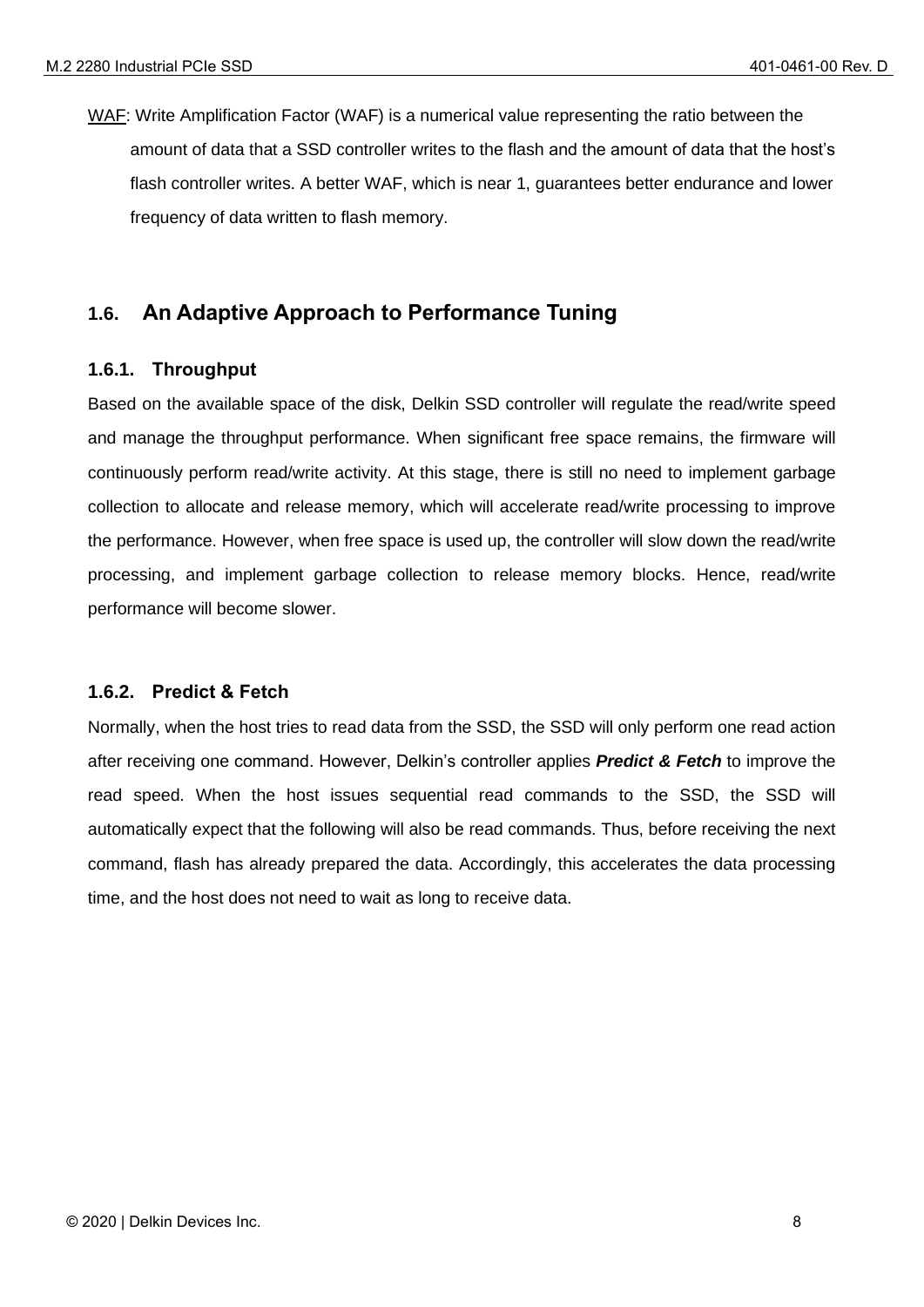WAF: Write Amplification Factor (WAF) is a numerical value representing the ratio between the amount of data that a SSD controller writes to the flash and the amount of data that the host's flash controller writes. A better WAF, which is near 1, guarantees better endurance and lower frequency of data written to flash memory.

#### <span id="page-7-0"></span>**1.6. An Adaptive Approach to Performance Tuning**

#### <span id="page-7-1"></span>**1.6.1. Throughput**

Based on the available space of the disk, Delkin SSD controller will regulate the read/write speed and manage the throughput performance. When significant free space remains, the firmware will continuously perform read/write activity. At this stage, there is still no need to implement garbage collection to allocate and release memory, which will accelerate read/write processing to improve the performance. However, when free space is used up, the controller will slow down the read/write processing, and implement garbage collection to release memory blocks. Hence, read/write performance will become slower.

#### <span id="page-7-2"></span>**1.6.2. Predict & Fetch**

Normally, when the host tries to read data from the SSD, the SSD will only perform one read action after receiving one command. However, Delkin's controller applies *Predict & Fetch* to improve the read speed. When the host issues sequential read commands to the SSD, the SSD will automatically expect that the following will also be read commands. Thus, before receiving the next command, flash has already prepared the data. Accordingly, this accelerates the data processing time, and the host does not need to wait as long to receive data.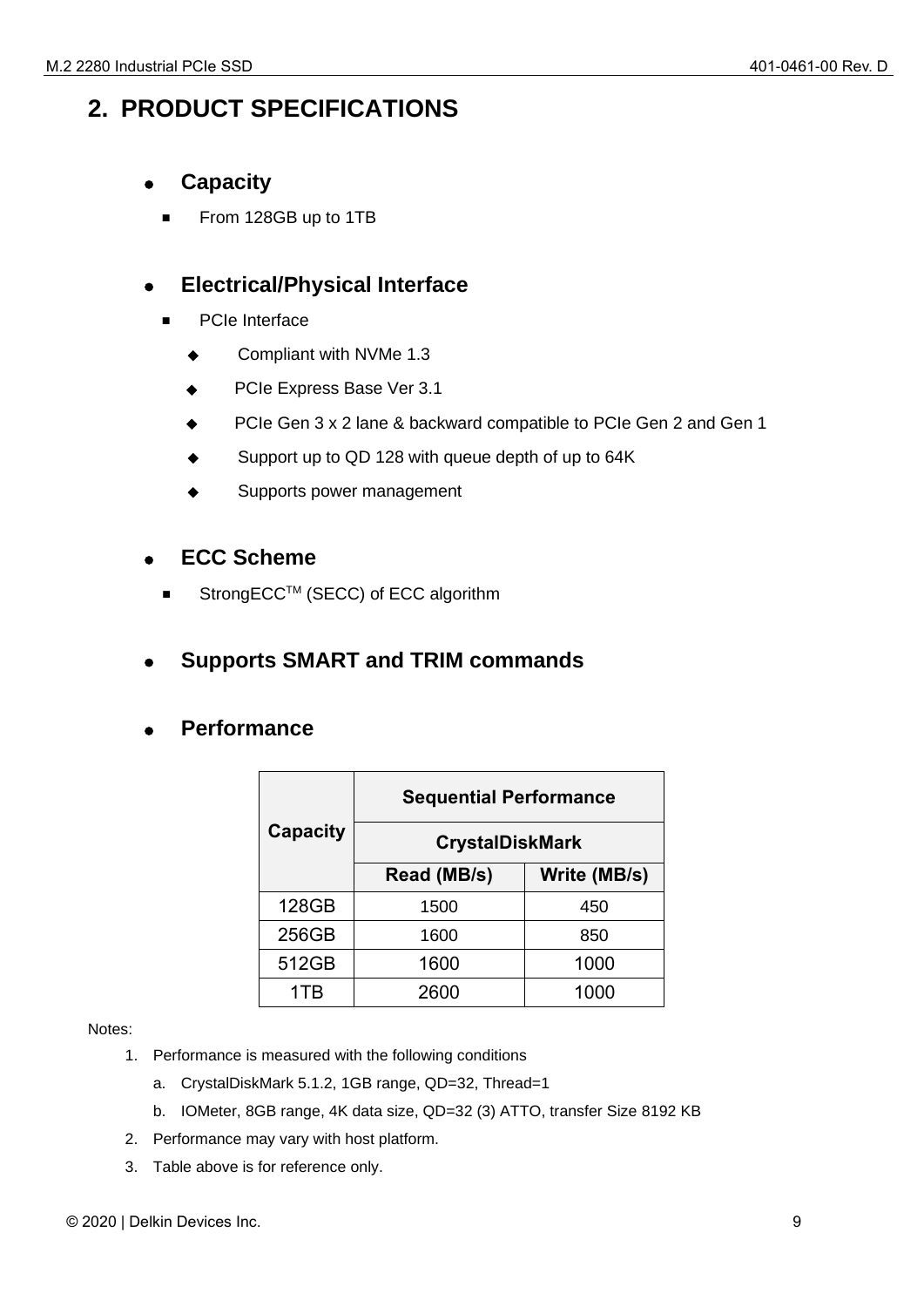## <span id="page-8-0"></span>**2. PRODUCT SPECIFICATIONS**

- ⚫ **Capacity**
	- From 128GB up to 1TB

#### ⚫ **Electrical/Physical Interface**

- PCIe Interface
	- ◆ Compliant with NVMe 1.3
	- PCIe Express Base Ver 3.1
	- PCIe Gen 3 x 2 lane & backward compatible to PCIe Gen 2 and Gen 1
	- Support up to QD 128 with queue depth of up to 64K
	- Supports power management

#### ⚫ **ECC Scheme**

StrongECC™ (SECC) of ECC algorithm

#### ⚫ **Supports SMART and TRIM commands**

#### ⚫ **Performance**

|                 | <b>Sequential Performance</b> |              |  |
|-----------------|-------------------------------|--------------|--|
| <b>Capacity</b> | <b>CrystalDiskMark</b>        |              |  |
|                 | Read (MB/s)                   | Write (MB/s) |  |
| 128GB           | 1500                          | 450          |  |
| 256GB           | 1600                          | 850          |  |
| 512GB           | 1600                          | 1000         |  |
| 1TR             | 2600                          | 1000         |  |

#### Notes:

- 1. Performance is measured with the following conditions
	- a. CrystalDiskMark 5.1.2, 1GB range, QD=32, Thread=1
	- b. IOMeter, 8GB range, 4K data size, QD=32 (3) ATTO, transfer Size 8192 KB
- 2. Performance may vary with host platform.
- 3. Table above is for reference only.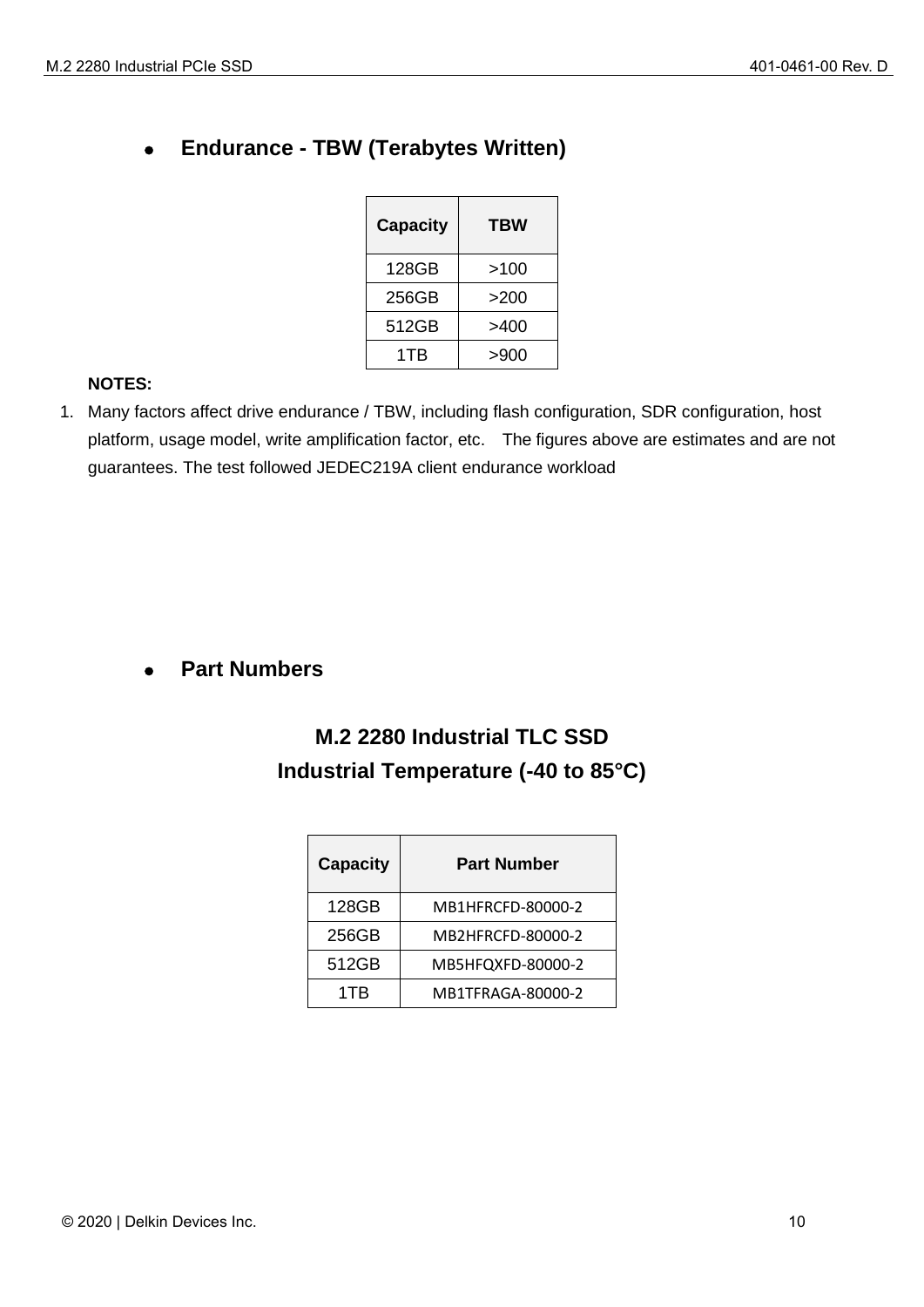## ⚫ **Endurance - TBW (Terabytes Written)**

| <b>Capacity</b> | <b>TBW</b> |
|-----------------|------------|
| 128GB           | >100       |
| 256GB           | >200       |
| 512GB           | >400       |
| 1TB             | >900       |

#### **NOTES:**

1. Many factors affect drive endurance / TBW, including flash configuration, SDR configuration, host platform, usage model, write amplification factor, etc. The figures above are estimates and are not guarantees. The test followed JEDEC219A client endurance workload

#### ⚫ **Part Numbers**

## **M.2 2280 Industrial TLC SSD Industrial Temperature (-40 to 85°C)**

| <b>Capacity</b> | <b>Part Number</b> |  |
|-----------------|--------------------|--|
| 128GB           | MB1HFRCFD-80000-2  |  |
| 256GB           | MB2HFRCFD-80000-2  |  |
| 512GB           | MB5HFQXFD-80000-2  |  |
| 1TR             | MB1TFRAGA-80000-2  |  |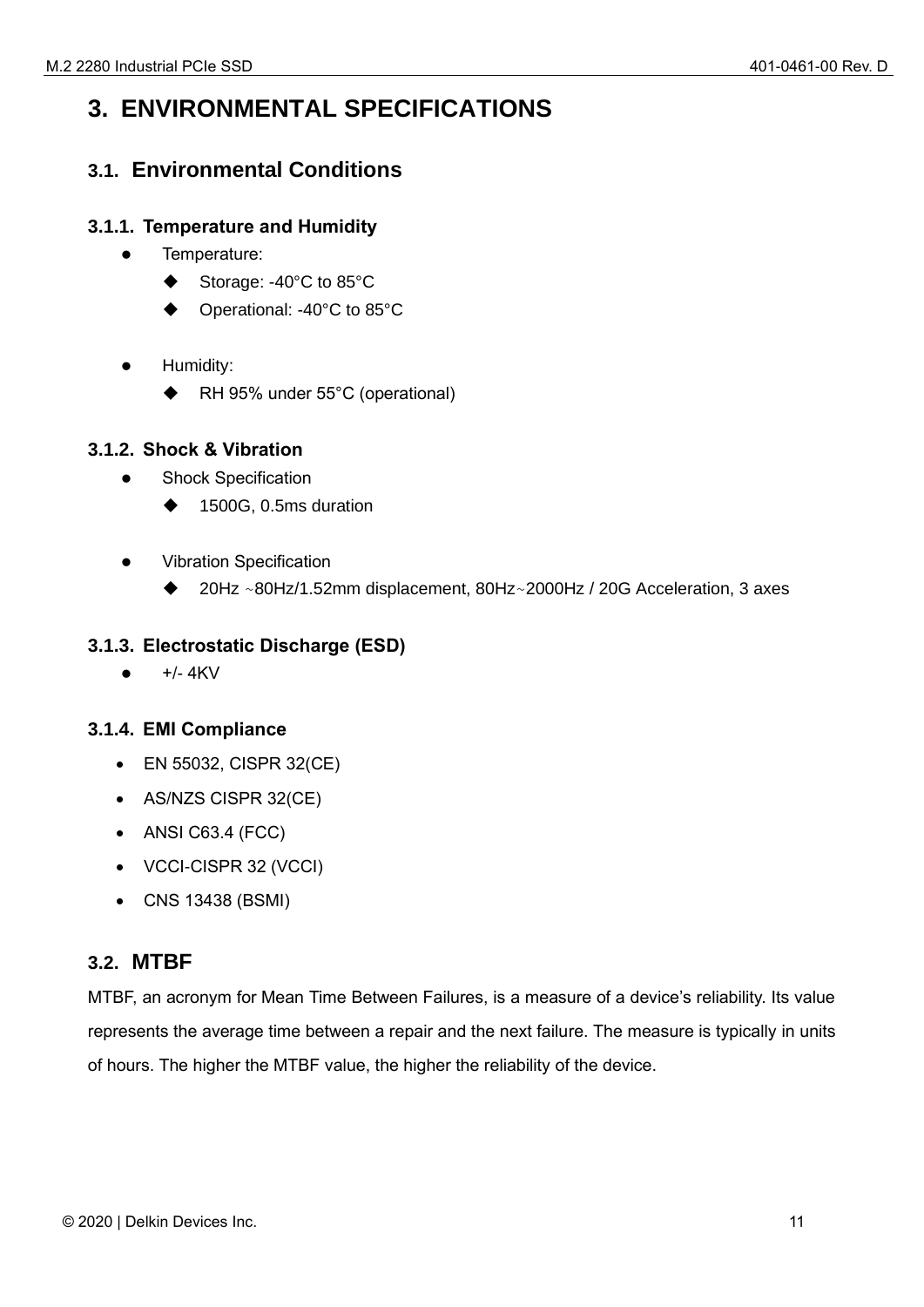## <span id="page-10-0"></span>**3. ENVIRONMENTAL SPECIFICATIONS**

#### <span id="page-10-1"></span>**3.1. Environmental Conditions**

#### <span id="page-10-2"></span>**3.1.1. Temperature and Humidity**

- ⚫ Temperature:
	- Storage: -40°C to 85°C
	- Operational: -40°C to 85°C
- Humidity:
	- ◆ RH 95% under 55°C (operational)

#### <span id="page-10-3"></span>**3.1.2. Shock & Vibration**

- ⚫ Shock Specification
	- ◆ 1500G, 0.5ms duration
- ⚫ Vibration Specification
	- 20Hz ~80Hz/1.52mm displacement, 80Hz~2000Hz / 20G Acceleration, 3 axes

#### <span id="page-10-4"></span>**3.1.3. Electrostatic Discharge (ESD)**

 $\bullet$  +/- 4KV

#### <span id="page-10-5"></span>**3.1.4. EMI Compliance**

- EN 55032, CISPR 32(CE)
- AS/NZS CISPR 32(CE)
- ANSI C63.4 (FCC)
- VCCI-CISPR 32 (VCCI)
- CNS 13438 (BSMI)

#### <span id="page-10-6"></span>**3.2. MTBF**

MTBF, an acronym for Mean Time Between Failures, is a measure of a device's reliability. Its value represents the average time between a repair and the next failure. The measure is typically in units of hours. The higher the MTBF value, the higher the reliability of the device.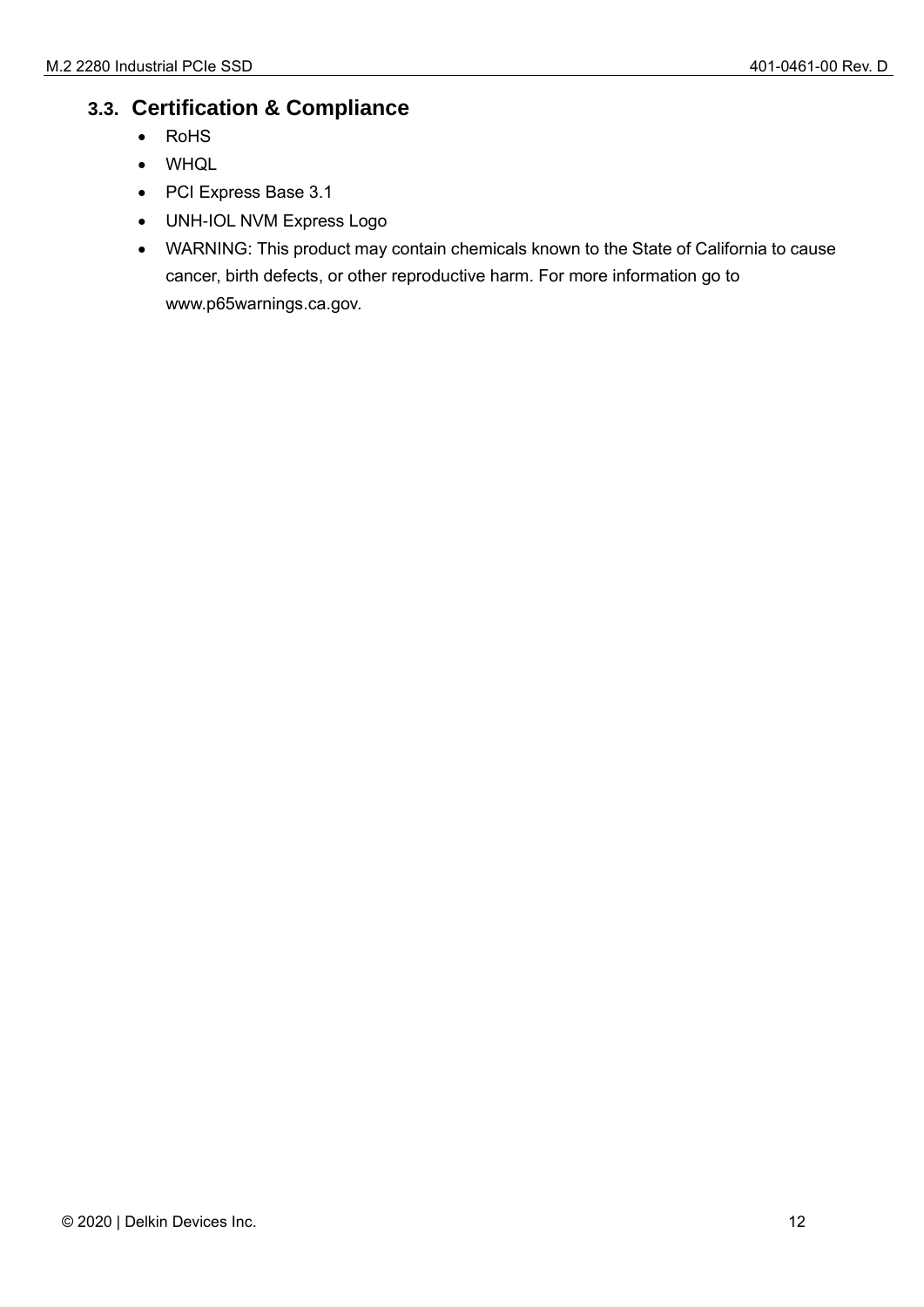#### <span id="page-11-0"></span>**3.3. Certification & Compliance**

- RoHS
- WHQL
- PCI Express Base 3.1
- UNH-IOL NVM Express Logo
- WARNING: This product may contain chemicals known to the State of California to cause cancer, birth defects, or other reproductive harm. For more information go to www.p65warnings.ca.gov.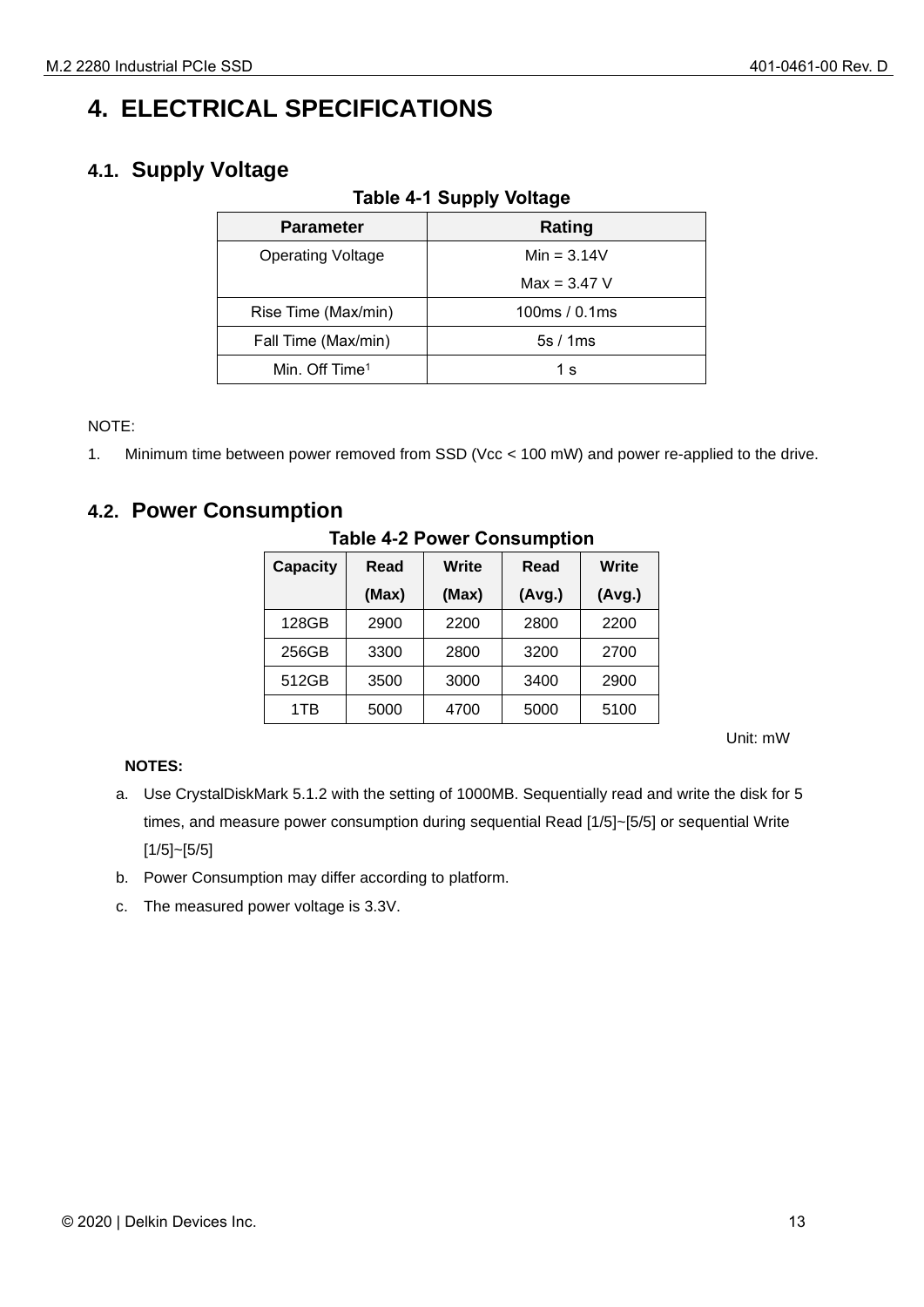## <span id="page-12-0"></span>**4. ELECTRICAL SPECIFICATIONS**

#### <span id="page-12-3"></span><span id="page-12-1"></span>**4.1. Supply Voltage**

| <b>Parameter</b>           | Rating         |
|----------------------------|----------------|
| <b>Operating Voltage</b>   | $Min = 3.14V$  |
|                            | $Max = 3.47 V$ |
| Rise Time (Max/min)        | 100 $ms/0.1ms$ |
| Fall Time (Max/min)        | 5s/1ms         |
| Min. Off Time <sup>1</sup> | 1 s            |

NOTE:

1. Minimum time between power removed from SSD (Vcc < 100 mW) and power re-applied to the drive.

#### <span id="page-12-4"></span><span id="page-12-2"></span>**4.2. Power Consumption**

| <b>Capacity</b> | Read  | Write | Read   | Write  |
|-----------------|-------|-------|--------|--------|
|                 | (Max) | (Max) | (Avg.) | (Avg.) |
| 128GB           | 2900  | 2200  | 2800   | 2200   |
| 256GB           | 3300  | 2800  | 3200   | 2700   |
| 512GB           | 3500  | 3000  | 3400   | 2900   |
| 1TB             | 5000  | 4700  | 5000   | 5100   |

#### **Table 4-2 Power Consumption**

Unit: mW

#### **NOTES:**

- a. Use CrystalDiskMark 5.1.2 with the setting of 1000MB. Sequentially read and write the disk for 5 times, and measure power consumption during sequential Read [1/5]~[5/5] or sequential Write [1/5]~[5/5]
- b. Power Consumption may differ according to platform.
- c. The measured power voltage is 3.3V.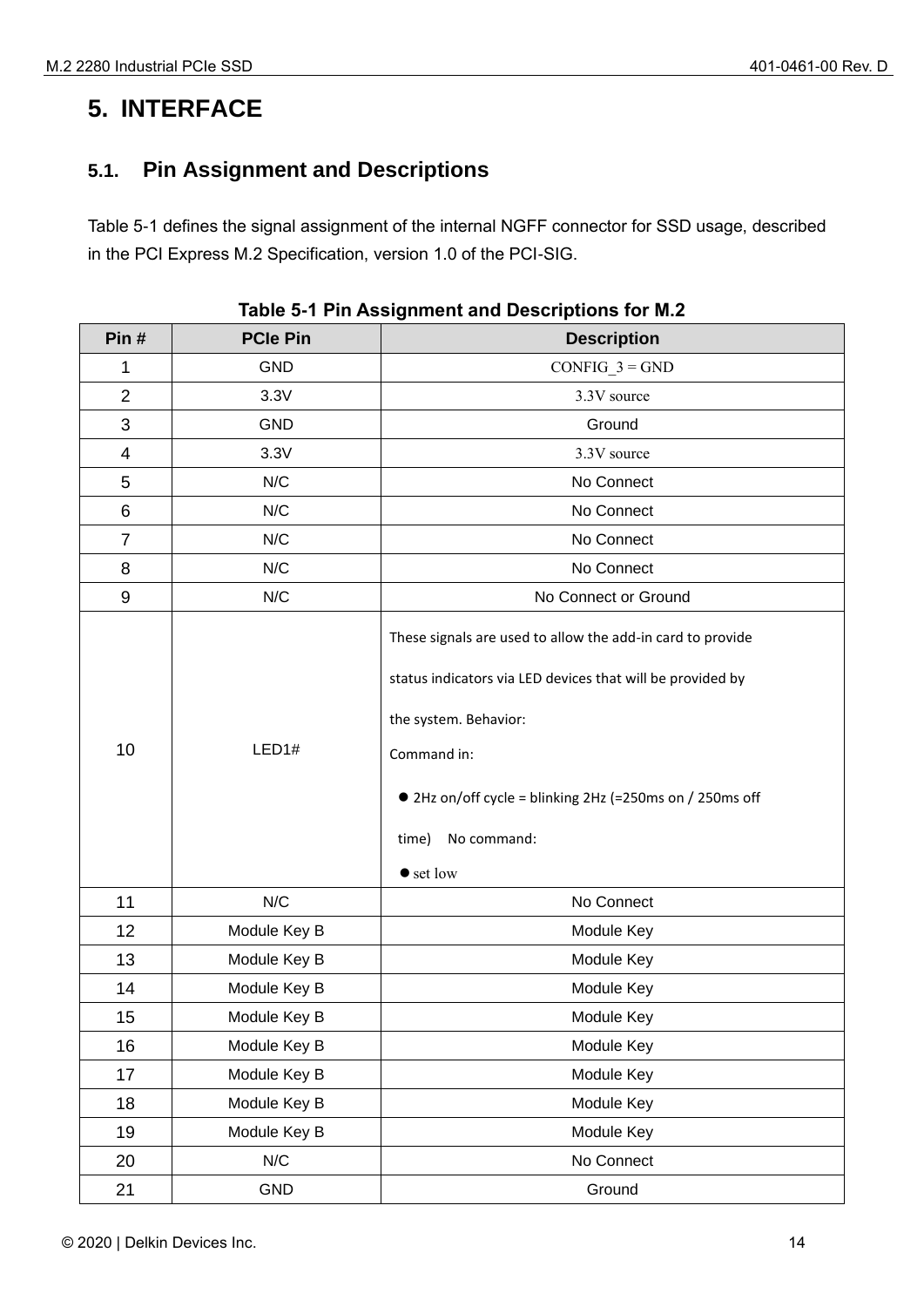## <span id="page-13-0"></span>**5. INTERFACE**

## <span id="page-13-1"></span>**5.1. Pin Assignment and Descriptions**

Table 5-1 defines the signal assignment of the internal NGFF connector for SSD usage, described in the PCI Express M.2 Specification, version 1.0 of the PCI-SIG.

<span id="page-13-2"></span>

| Pin#             | <b>PCIe Pin</b> | <b>Description</b>                                                                                                                                                                                                                                                        |  |
|------------------|-----------------|---------------------------------------------------------------------------------------------------------------------------------------------------------------------------------------------------------------------------------------------------------------------------|--|
| 1                | <b>GND</b>      | $CONFIG_3 = GND$                                                                                                                                                                                                                                                          |  |
| $\overline{2}$   | 3.3V            | 3.3V source                                                                                                                                                                                                                                                               |  |
| 3                | <b>GND</b>      | Ground                                                                                                                                                                                                                                                                    |  |
| 4                | 3.3V            | 3.3V source                                                                                                                                                                                                                                                               |  |
| 5                | N/C             | No Connect                                                                                                                                                                                                                                                                |  |
| 6                | N/C             | No Connect                                                                                                                                                                                                                                                                |  |
| $\overline{7}$   | N/C             | No Connect                                                                                                                                                                                                                                                                |  |
| 8                | N/C             | No Connect                                                                                                                                                                                                                                                                |  |
| $\boldsymbol{9}$ | N/C             | No Connect or Ground                                                                                                                                                                                                                                                      |  |
| 10               | LED1#           | These signals are used to allow the add-in card to provide<br>status indicators via LED devices that will be provided by<br>the system. Behavior:<br>Command in:<br>● 2Hz on/off cycle = blinking 2Hz (=250ms on / 250ms off<br>No command:<br>time)<br>$\bullet$ set low |  |
| 11               | N/C             | No Connect                                                                                                                                                                                                                                                                |  |
| 12               | Module Key B    | Module Key                                                                                                                                                                                                                                                                |  |
| 13               | Module Key B    | Module Key                                                                                                                                                                                                                                                                |  |
| 14               | Module Key B    | Module Key                                                                                                                                                                                                                                                                |  |
| 15               | Module Key B    | Module Key                                                                                                                                                                                                                                                                |  |
| 16               | Module Key B    | Module Key                                                                                                                                                                                                                                                                |  |
| 17               | Module Key B    | Module Key                                                                                                                                                                                                                                                                |  |
| 18               | Module Key B    | Module Key                                                                                                                                                                                                                                                                |  |
| 19               | Module Key B    | Module Key                                                                                                                                                                                                                                                                |  |
| 20               | N/C             | No Connect                                                                                                                                                                                                                                                                |  |
| 21               | GND             | Ground                                                                                                                                                                                                                                                                    |  |

| Table 5-1 Pin Assignment and Descriptions for M.2 |  |  |  |
|---------------------------------------------------|--|--|--|
|---------------------------------------------------|--|--|--|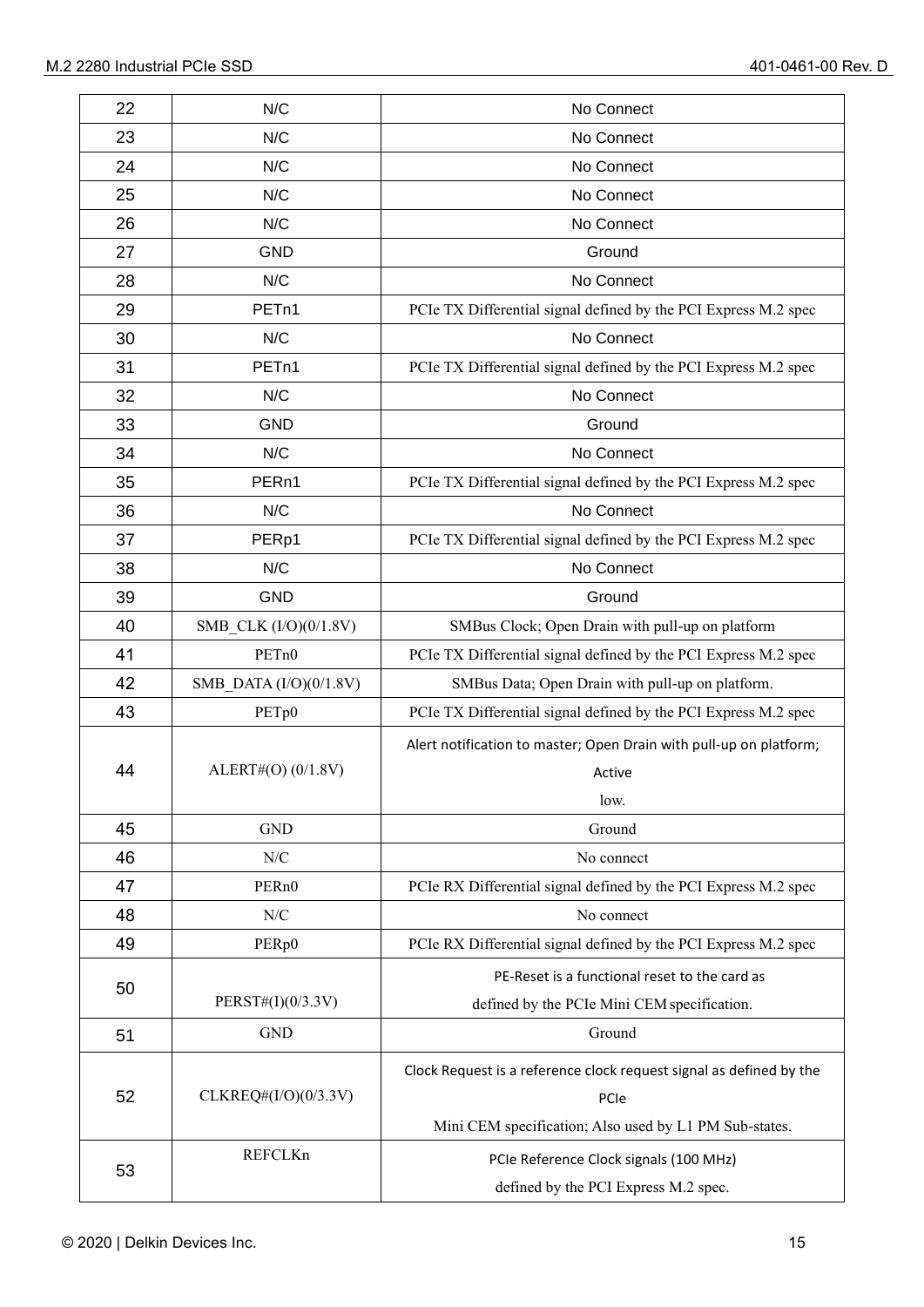| 22 | N/C                      | No Connect                                                          |  |
|----|--------------------------|---------------------------------------------------------------------|--|
| 23 | N/C                      | No Connect                                                          |  |
| 24 | N/C                      | No Connect                                                          |  |
| 25 | N/C                      | No Connect                                                          |  |
| 26 | N/C                      | No Connect                                                          |  |
| 27 | <b>GND</b>               | Ground                                                              |  |
| 28 | N/C                      | No Connect                                                          |  |
| 29 | PETn1                    | PCIe TX Differential signal defined by the PCI Express M.2 spec     |  |
| 30 | N/C                      | No Connect                                                          |  |
| 31 | PET <sub>n1</sub>        | PCIe TX Differential signal defined by the PCI Express M.2 spec     |  |
| 32 | N/C                      | No Connect                                                          |  |
| 33 | <b>GND</b>               | Ground                                                              |  |
| 34 | N/C                      | No Connect                                                          |  |
| 35 | PER <sub>n1</sub>        | PCIe TX Differential signal defined by the PCI Express M.2 spec     |  |
| 36 | N/C                      | No Connect                                                          |  |
| 37 | PERp1                    | PCIe TX Differential signal defined by the PCI Express M.2 spec     |  |
| 38 | N/C                      | No Connect                                                          |  |
| 39 | <b>GND</b>               | Ground                                                              |  |
| 40 | SMB_CLK (I/O)(0/1.8V)    | SMBus Clock; Open Drain with pull-up on platform                    |  |
| 41 | PET <sub>n</sub> 0       | PCIe TX Differential signal defined by the PCI Express M.2 spec     |  |
| 42 | SMB DATA $(I/O)(0/1.8V)$ | SMBus Data; Open Drain with pull-up on platform.                    |  |
| 43 | PET <sub>p0</sub>        | PCIe TX Differential signal defined by the PCI Express M.2 spec     |  |
|    |                          | Alert notification to master; Open Drain with pull-up on platform;  |  |
| 44 | ALERT#(O) (0/1.8V)       | Active                                                              |  |
|    |                          | low.                                                                |  |
| 45 | <b>GND</b>               | Ground                                                              |  |
| 46 | ${\rm N/C}$              | No connect                                                          |  |
| 47 | PER <sub>n0</sub>        | PCIe RX Differential signal defined by the PCI Express M.2 spec     |  |
| 48 | N/C                      | No connect                                                          |  |
| 49 | PER <sub>p0</sub>        | PCIe RX Differential signal defined by the PCI Express M.2 spec     |  |
|    |                          | PE-Reset is a functional reset to the card as                       |  |
| 50 | PERST#(I)(0/3.3V)        | defined by the PCIe Mini CEM specification.                         |  |
| 51 | <b>GND</b>               | Ground                                                              |  |
|    |                          | Clock Request is a reference clock request signal as defined by the |  |
| 52 | CLKREQ# $(I/O)(0/3.3V)$  | PCIe                                                                |  |
|    |                          | Mini CEM specification; Also used by L1 PM Sub-states.              |  |
|    | REFCLKn                  | PCIe Reference Clock signals (100 MHz)                              |  |
| 53 |                          | defined by the PCI Express M.2 spec.                                |  |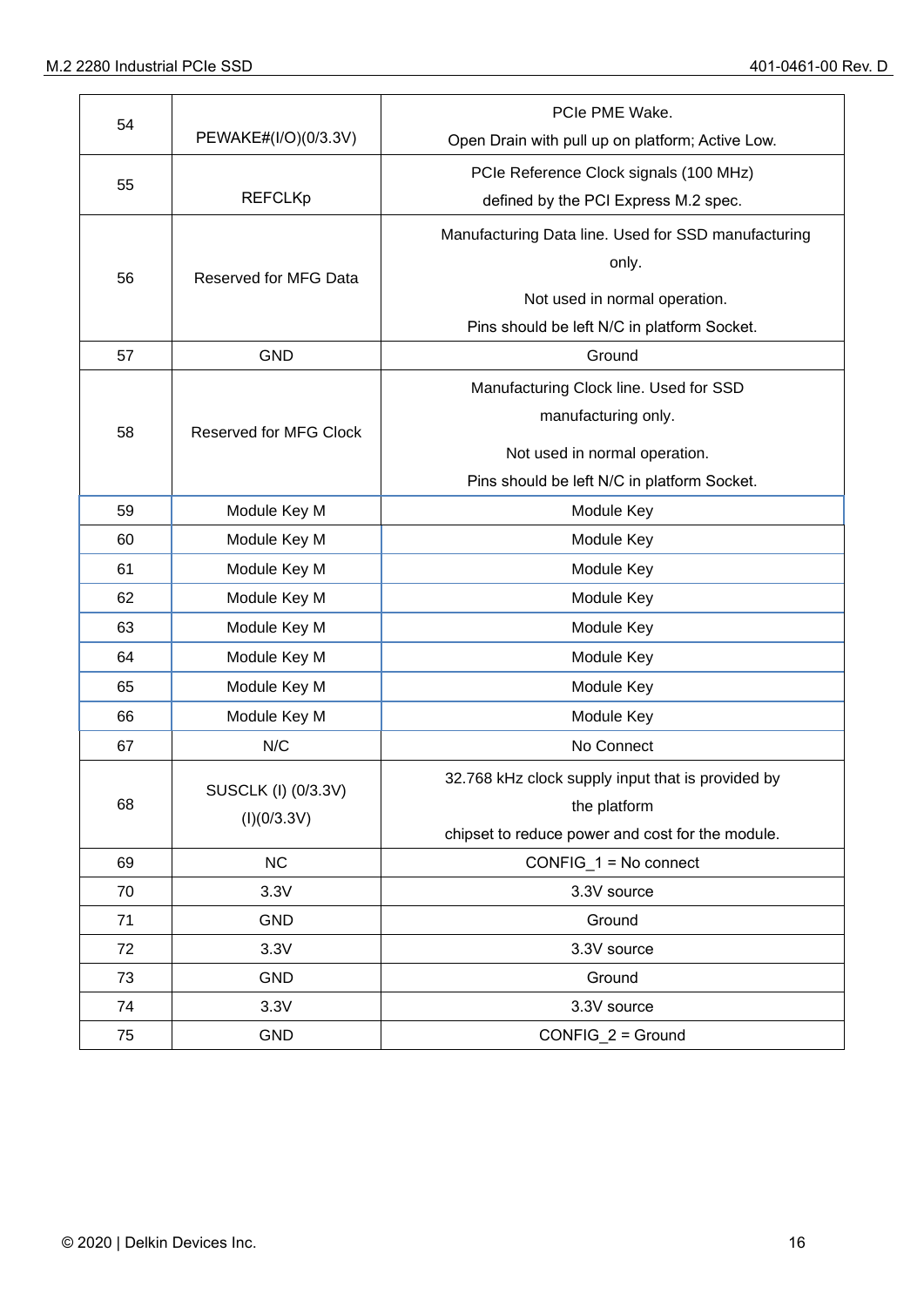| 54 |                               | PCIe PME Wake.                                      |
|----|-------------------------------|-----------------------------------------------------|
|    | PEWAKE#(I/O)(0/3.3V)          | Open Drain with pull up on platform; Active Low.    |
|    |                               | PCIe Reference Clock signals (100 MHz)              |
| 55 | <b>REFCLKp</b>                | defined by the PCI Express M.2 spec.                |
|    |                               | Manufacturing Data line. Used for SSD manufacturing |
|    |                               | only.                                               |
| 56 | Reserved for MFG Data         | Not used in normal operation.                       |
|    |                               | Pins should be left N/C in platform Socket.         |
| 57 | <b>GND</b>                    | Ground                                              |
|    |                               | Manufacturing Clock line. Used for SSD              |
|    |                               | manufacturing only.                                 |
| 58 | <b>Reserved for MFG Clock</b> |                                                     |
|    |                               | Not used in normal operation.                       |
|    |                               | Pins should be left N/C in platform Socket.         |
| 59 | Module Key M                  | Module Key                                          |
| 60 | Module Key M                  | Module Key                                          |
| 61 | Module Key M                  | Module Key                                          |
| 62 | Module Key M                  | Module Key                                          |
| 63 | Module Key M                  | Module Key                                          |
| 64 | Module Key M                  | Module Key                                          |
| 65 | Module Key M                  | Module Key                                          |
| 66 | Module Key M                  | Module Key                                          |
| 67 | N/C                           | No Connect                                          |
|    |                               | 32.768 kHz clock supply input that is provided by   |
| 68 | SUSCLK (I) (0/3.3V)           | the platform                                        |
|    | (I)(0/3.3V)                   | chipset to reduce power and cost for the module.    |
| 69 | <b>NC</b>                     | $CONFIG_1 = No connect$                             |
| 70 | 3.3V                          | 3.3V source                                         |
| 71 | <b>GND</b>                    | Ground                                              |
| 72 | 3.3V                          | 3.3V source                                         |
| 73 | <b>GND</b>                    | Ground                                              |
| 74 | 3.3V                          | 3.3V source                                         |
| 75 | <b>GND</b>                    | CONFIG_2 = Ground                                   |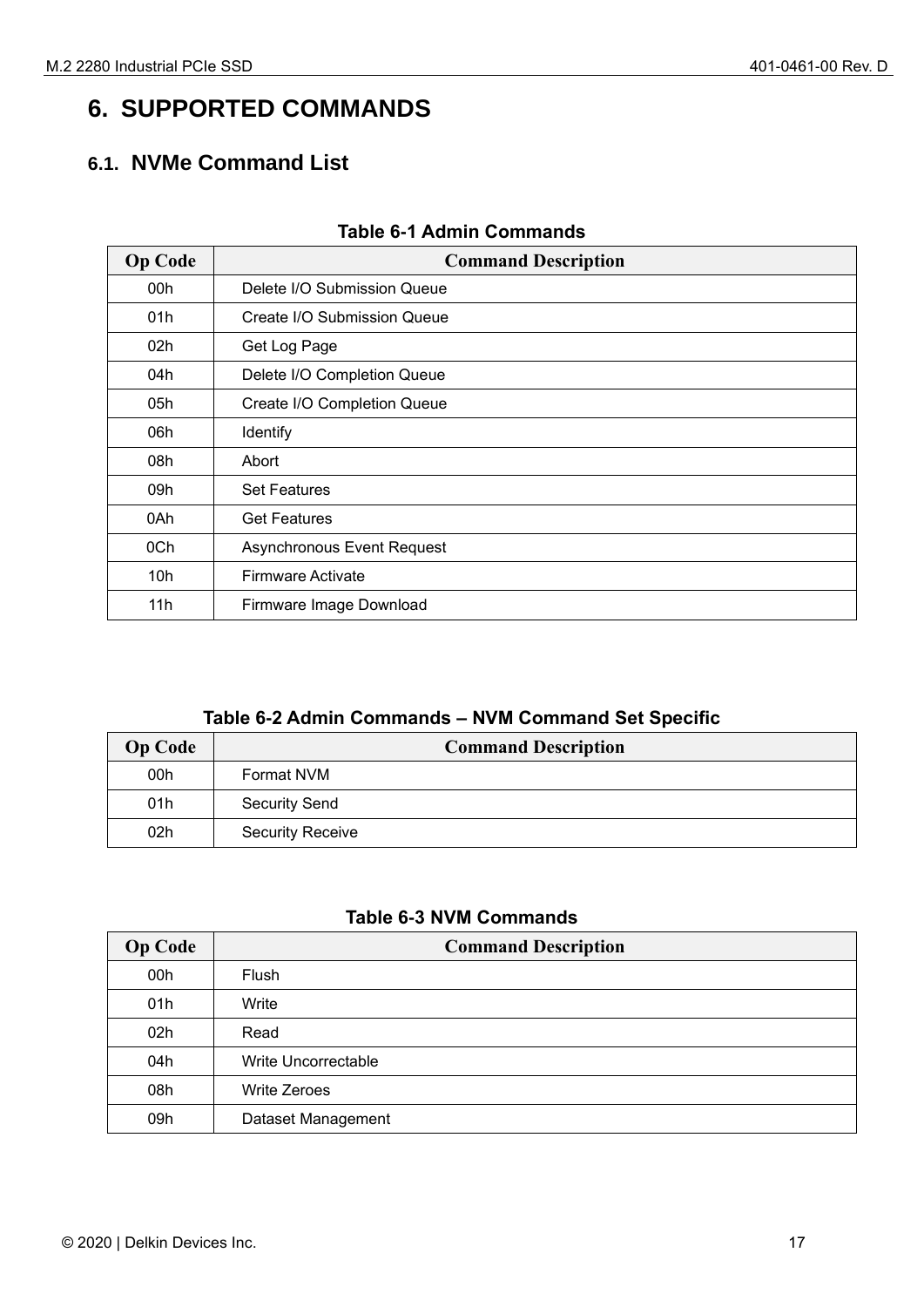## <span id="page-16-0"></span>**6. SUPPORTED COMMANDS**

## <span id="page-16-1"></span>**6.1. NVMe Command List**

<span id="page-16-2"></span>

| <b>Op Code</b> | <b>Command Description</b>  |  |  |
|----------------|-----------------------------|--|--|
| 00h            | Delete I/O Submission Queue |  |  |
| 01h            | Create I/O Submission Queue |  |  |
| 02h            | Get Log Page                |  |  |
| 04h            | Delete I/O Completion Queue |  |  |
| 05h            | Create I/O Completion Queue |  |  |
| 06h            | Identify                    |  |  |
| 08h            | Abort                       |  |  |
| 09h            | <b>Set Features</b>         |  |  |
| 0Ah            | <b>Get Features</b>         |  |  |
| 0Ch            | Asynchronous Event Request  |  |  |
| 10h            | <b>Firmware Activate</b>    |  |  |
| 11h            | Firmware Image Download     |  |  |

#### **Table 6-1 Admin Commands**

## **Table 6-2 Admin Commands – NVM Command Set Specific**

| <b>Op Code</b> | <b>Command Description</b> |  |
|----------------|----------------------------|--|
| 00h            | Format NVM                 |  |
| 01h            | <b>Security Send</b>       |  |
| 02h            | <b>Security Receive</b>    |  |

#### **Table 6-3 NVM Commands**

| <b>Op Code</b> | <b>Command Description</b> |  |  |
|----------------|----------------------------|--|--|
| 00h            | Flush                      |  |  |
| 01h            | Write                      |  |  |
| 02h            | Read                       |  |  |
| 04h            | Write Uncorrectable        |  |  |
| 08h            | <b>Write Zeroes</b>        |  |  |
| 09h            | Dataset Management         |  |  |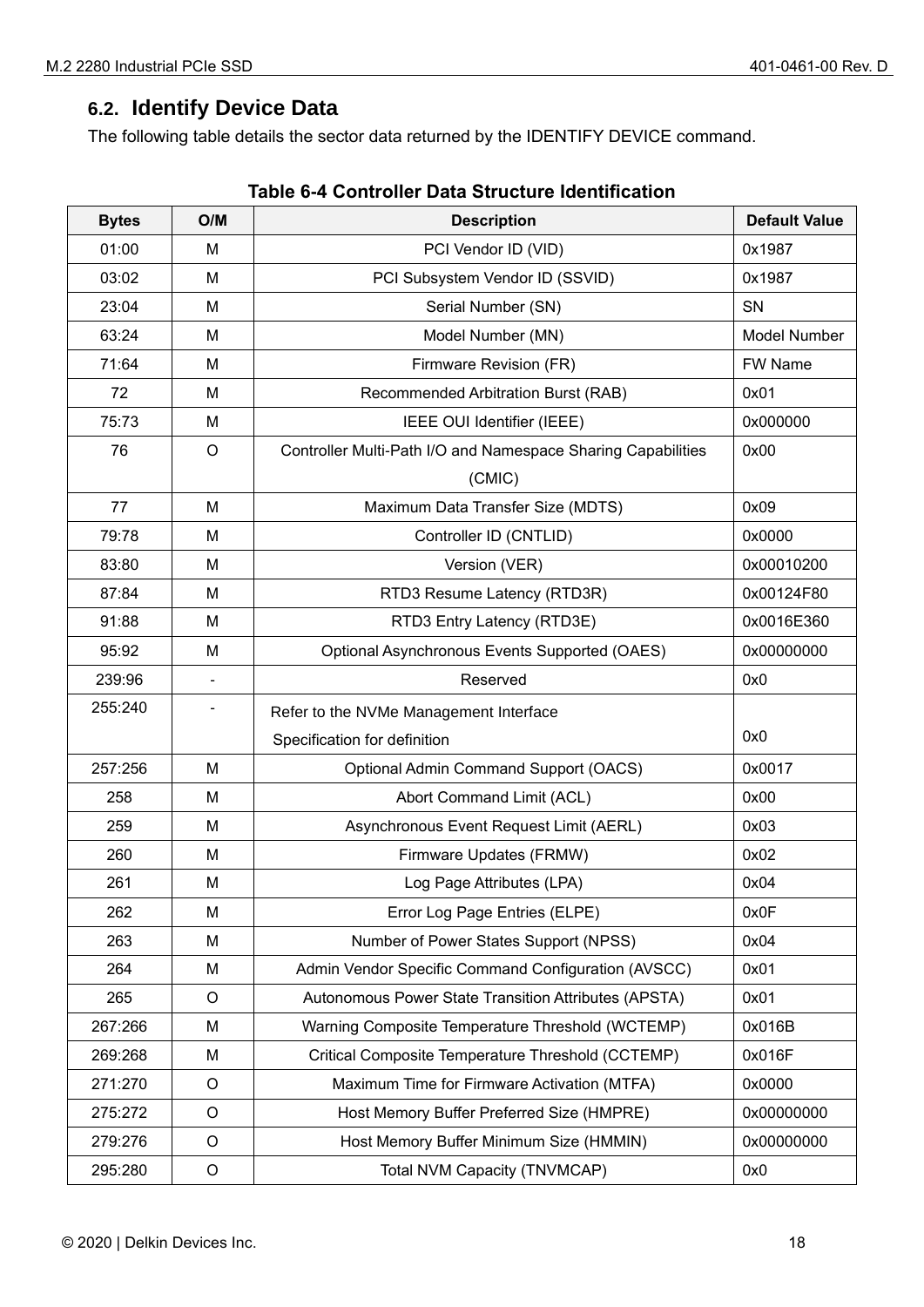#### <span id="page-17-0"></span>**6.2. Identify Device Data**

The following table details the sector data returned by the IDENTIFY DEVICE command.

| <b>Bytes</b> | O/M         | <b>Description</b>                                           | <b>Default Value</b> |
|--------------|-------------|--------------------------------------------------------------|----------------------|
| 01:00        | M           | PCI Vendor ID (VID)                                          | 0x1987               |
| 03:02        | M           | PCI Subsystem Vendor ID (SSVID)                              | 0x1987               |
| 23:04        | M           | Serial Number (SN)                                           | SN                   |
| 63:24        | M           | Model Number (MN)                                            | <b>Model Number</b>  |
| 71:64        | M           | Firmware Revision (FR)                                       | FW Name              |
| 72           | M           | Recommended Arbitration Burst (RAB)                          | 0x01                 |
| 75:73        | M           | IEEE OUI Identifier (IEEE)                                   | 0x000000             |
| 76           | O           | Controller Multi-Path I/O and Namespace Sharing Capabilities | 0x00                 |
|              |             | (CMIC)                                                       |                      |
| 77           | M           | Maximum Data Transfer Size (MDTS)                            | 0x09                 |
| 79:78        | M           | Controller ID (CNTLID)                                       | 0x0000               |
| 83:80        | M           | Version (VER)                                                | 0x00010200           |
| 87:84        | M           | RTD3 Resume Latency (RTD3R)                                  | 0x00124F80           |
| 91:88        | M           | RTD3 Entry Latency (RTD3E)                                   | 0x0016E360           |
| 95:92        | M           | Optional Asynchronous Events Supported (OAES)                | 0x00000000           |
| 239:96       |             | Reserved                                                     | 0x0                  |
| 255:240      |             | Refer to the NVMe Management Interface                       |                      |
|              |             | Specification for definition                                 | 0x0                  |
| 257:256      | M           | <b>Optional Admin Command Support (OACS)</b>                 | 0x0017               |
| 258          | M           | Abort Command Limit (ACL)                                    | 0x00                 |
| 259          | М           | Asynchronous Event Request Limit (AERL)                      | 0x03                 |
| 260          | M           | Firmware Updates (FRMW)                                      | 0x02                 |
| 261          | M           | Log Page Attributes (LPA)                                    | 0x04                 |
| 262          | M           | Error Log Page Entries (ELPE)                                | 0x0F                 |
| 263          | M           | Number of Power States Support (NPSS)                        | 0x04                 |
| 264          | M           | Admin Vendor Specific Command Configuration (AVSCC)          | 0x01                 |
| 265          | $\circ$     | Autonomous Power State Transition Attributes (APSTA)         | 0x01                 |
| 267:266      | M           | Warning Composite Temperature Threshold (WCTEMP)             | 0x016B               |
| 269:268      | M           | Critical Composite Temperature Threshold (CCTEMP)            | 0x016F               |
| 271:270      | $\circ$     | Maximum Time for Firmware Activation (MTFA)                  | 0x0000               |
| 275:272      | $\circ$     | Host Memory Buffer Preferred Size (HMPRE)                    | 0x00000000           |
| 279:276      | $\circ$     | Host Memory Buffer Minimum Size (HMMIN)                      | 0x00000000           |
| 295:280      | $\mathsf O$ | Total NVM Capacity (TNVMCAP)                                 | 0x0                  |

|  | Table 6-4 Controller Data Structure Identification |
|--|----------------------------------------------------|
|--|----------------------------------------------------|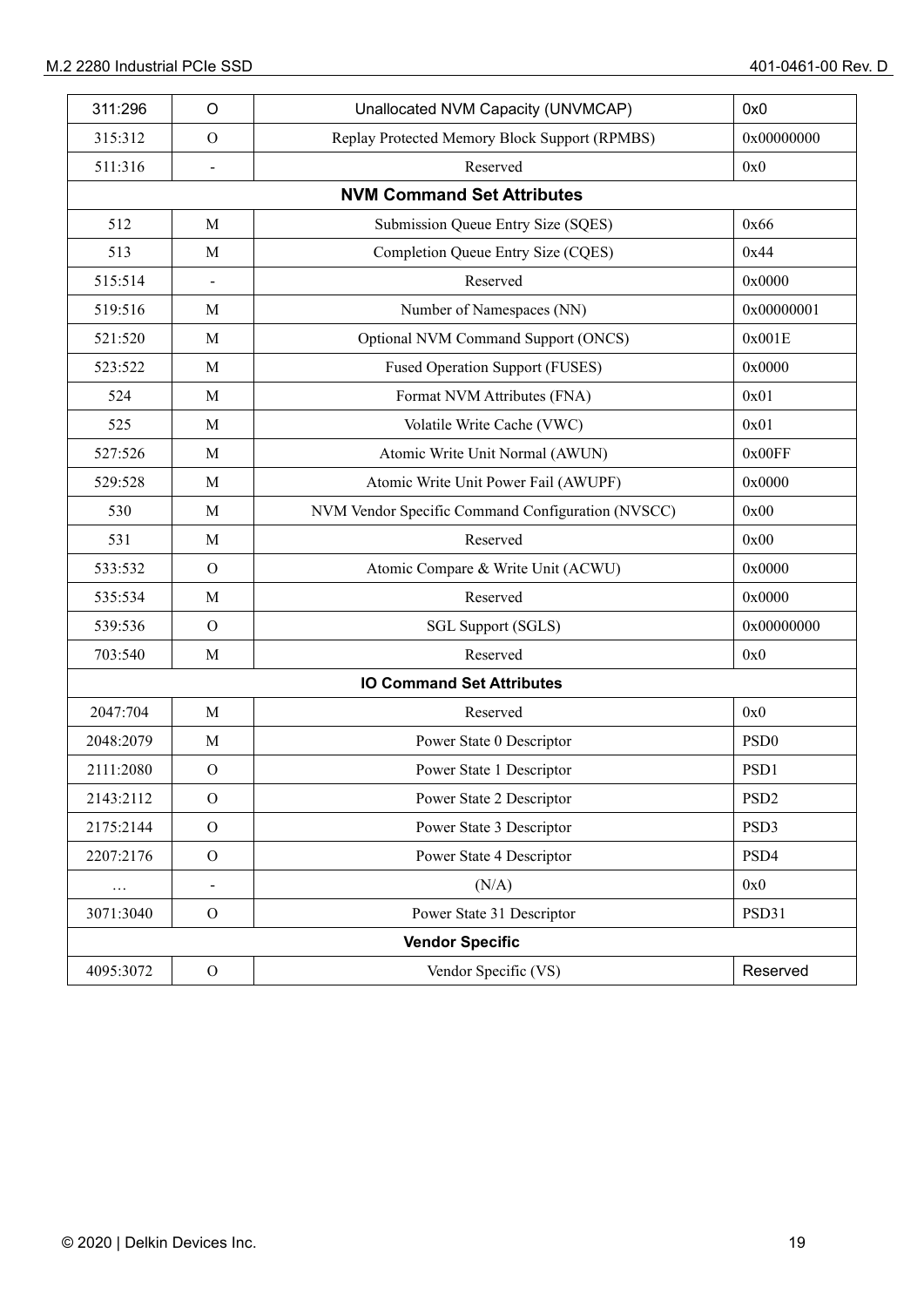| 311:296   | $\circ$                | Unallocated NVM Capacity (UNVMCAP)                | 0x0              |
|-----------|------------------------|---------------------------------------------------|------------------|
| 315:312   | $\mathcal{O}$          | Replay Protected Memory Block Support (RPMBS)     | 0x00000000       |
| 511:316   |                        | Reserved                                          | 0x0              |
|           |                        | <b>NVM Command Set Attributes</b>                 |                  |
| 512       | M                      | Submission Queue Entry Size (SQES)                | 0x66             |
| 513       | M                      | Completion Queue Entry Size (CQES)                | 0x44             |
| 515:514   |                        | Reserved                                          | 0x0000           |
| 519:516   | M                      | Number of Namespaces (NN)                         | 0x00000001       |
| 521:520   | M                      | Optional NVM Command Support (ONCS)               | 0x001E           |
| 523:522   | M                      | <b>Fused Operation Support (FUSES)</b>            | 0x0000           |
| 524       | M                      | Format NVM Attributes (FNA)                       | 0x01             |
| 525       | M                      | Volatile Write Cache (VWC)                        | 0x01             |
| 527:526   | M                      | Atomic Write Unit Normal (AWUN)                   | 0x00FF           |
| 529:528   | M                      | Atomic Write Unit Power Fail (AWUPF)              | 0x0000           |
| 530       | M                      | NVM Vendor Specific Command Configuration (NVSCC) | 0x00             |
| 531       | M                      | Reserved                                          | 0x00             |
| 533:532   | $\mathcal{O}$          | Atomic Compare & Write Unit (ACWU)                | 0x0000           |
| 535:534   | M                      | Reserved                                          | 0x0000           |
| 539:536   | $\mathcal{O}$          | SGL Support (SGLS)                                | 0x00000000       |
| 703:540   | M                      | Reserved                                          | 0x0              |
|           |                        | <b>IO Command Set Attributes</b>                  |                  |
| 2047:704  | M                      | Reserved                                          | 0x0              |
| 2048:2079 | M                      | Power State 0 Descriptor                          | PSD <sub>0</sub> |
| 2111:2080 | $\mathcal{O}$          | Power State 1 Descriptor                          | PSD1             |
| 2143:2112 | $\mathcal{O}$          | Power State 2 Descriptor                          | PSD <sub>2</sub> |
| 2175:2144 | $\mathcal{O}$          | Power State 3 Descriptor                          | PSD3             |
| 2207:2176 | $\mathcal O$           | Power State 4 Descriptor                          | PSD4             |
| $\cdots$  | $\frac{1}{2}$          | (N/A)                                             | 0x0              |
| 3071:3040 | $\mathcal{O}$          | Power State 31 Descriptor                         | PSD31            |
|           | <b>Vendor Specific</b> |                                                   |                  |
| 4095:3072 | $\mathcal O$           | Vendor Specific (VS)                              | Reserved         |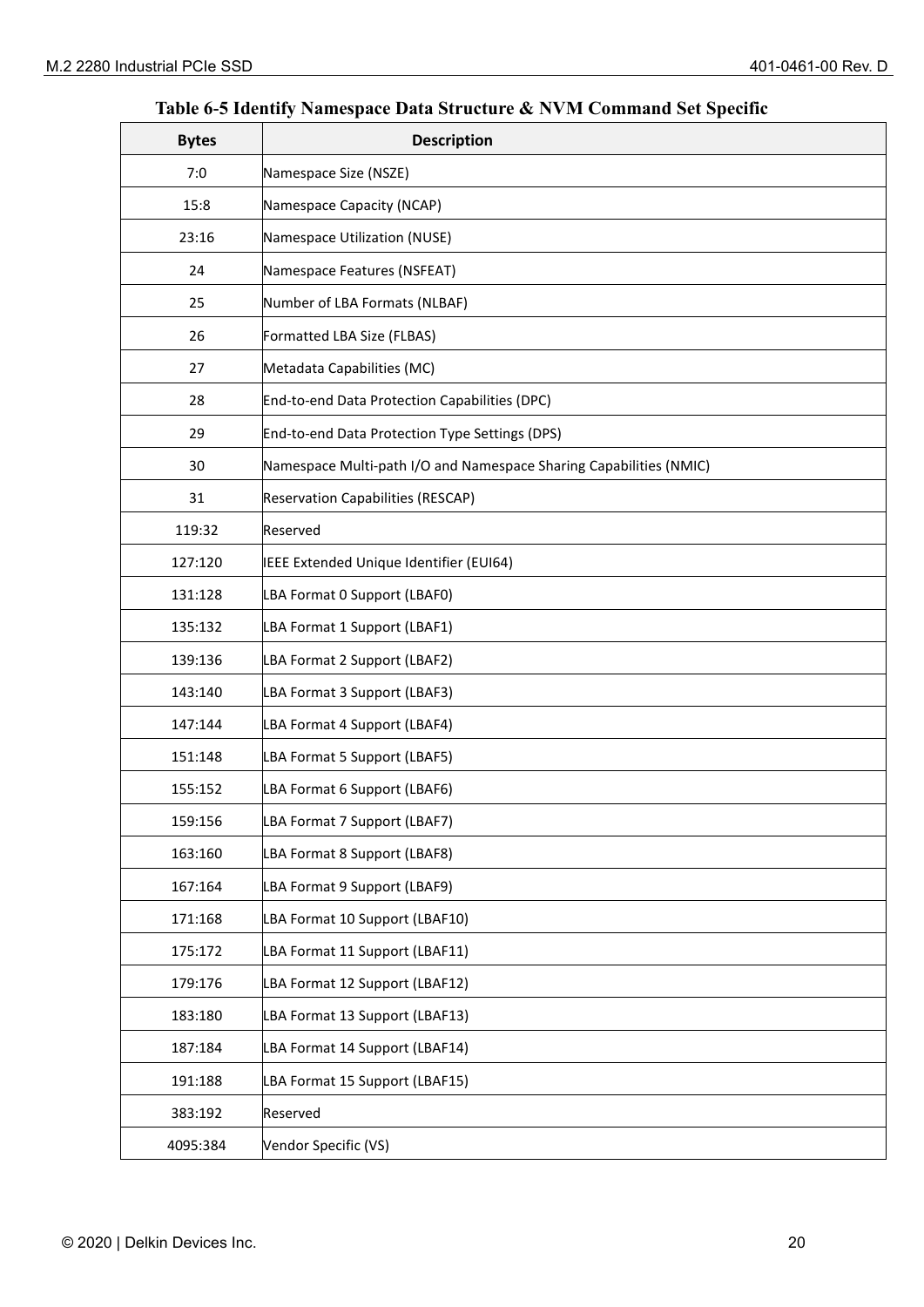## **Table 6-5 Identify Namespace Data Structure & NVM Command Set Specific**

| <b>Bytes</b> | <b>Description</b>                                                 |
|--------------|--------------------------------------------------------------------|
| 7:0          | Namespace Size (NSZE)                                              |
| 15:8         | Namespace Capacity (NCAP)                                          |
| 23:16        | Namespace Utilization (NUSE)                                       |
| 24           | Namespace Features (NSFEAT)                                        |
| 25           | Number of LBA Formats (NLBAF)                                      |
| 26           | Formatted LBA Size (FLBAS)                                         |
| 27           | Metadata Capabilities (MC)                                         |
| 28           | End-to-end Data Protection Capabilities (DPC)                      |
| 29           | End-to-end Data Protection Type Settings (DPS)                     |
| 30           | Namespace Multi-path I/O and Namespace Sharing Capabilities (NMIC) |
| 31           | <b>Reservation Capabilities (RESCAP)</b>                           |
| 119:32       | Reserved                                                           |
| 127:120      | IEEE Extended Unique Identifier (EUI64)                            |
| 131:128      | LBA Format 0 Support (LBAF0)                                       |
| 135:132      | LBA Format 1 Support (LBAF1)                                       |
| 139:136      | LBA Format 2 Support (LBAF2)                                       |
| 143:140      | LBA Format 3 Support (LBAF3)                                       |
| 147:144      | LBA Format 4 Support (LBAF4)                                       |
| 151:148      | LBA Format 5 Support (LBAF5)                                       |
| 155:152      | LBA Format 6 Support (LBAF6)                                       |
| 159:156      | LBA Format 7 Support (LBAF7)                                       |
| 163:160      | LBA Format 8 Support (LBAF8)                                       |
| 167:164      | LBA Format 9 Support (LBAF9)                                       |
| 171:168      | LBA Format 10 Support (LBAF10)                                     |
| 175:172      | LBA Format 11 Support (LBAF11)                                     |
| 179:176      | LBA Format 12 Support (LBAF12)                                     |
| 183:180      | LBA Format 13 Support (LBAF13)                                     |
| 187:184      | LBA Format 14 Support (LBAF14)                                     |
| 191:188      | LBA Format 15 Support (LBAF15)                                     |
| 383:192      | Reserved                                                           |
| 4095:384     | Vendor Specific (VS)                                               |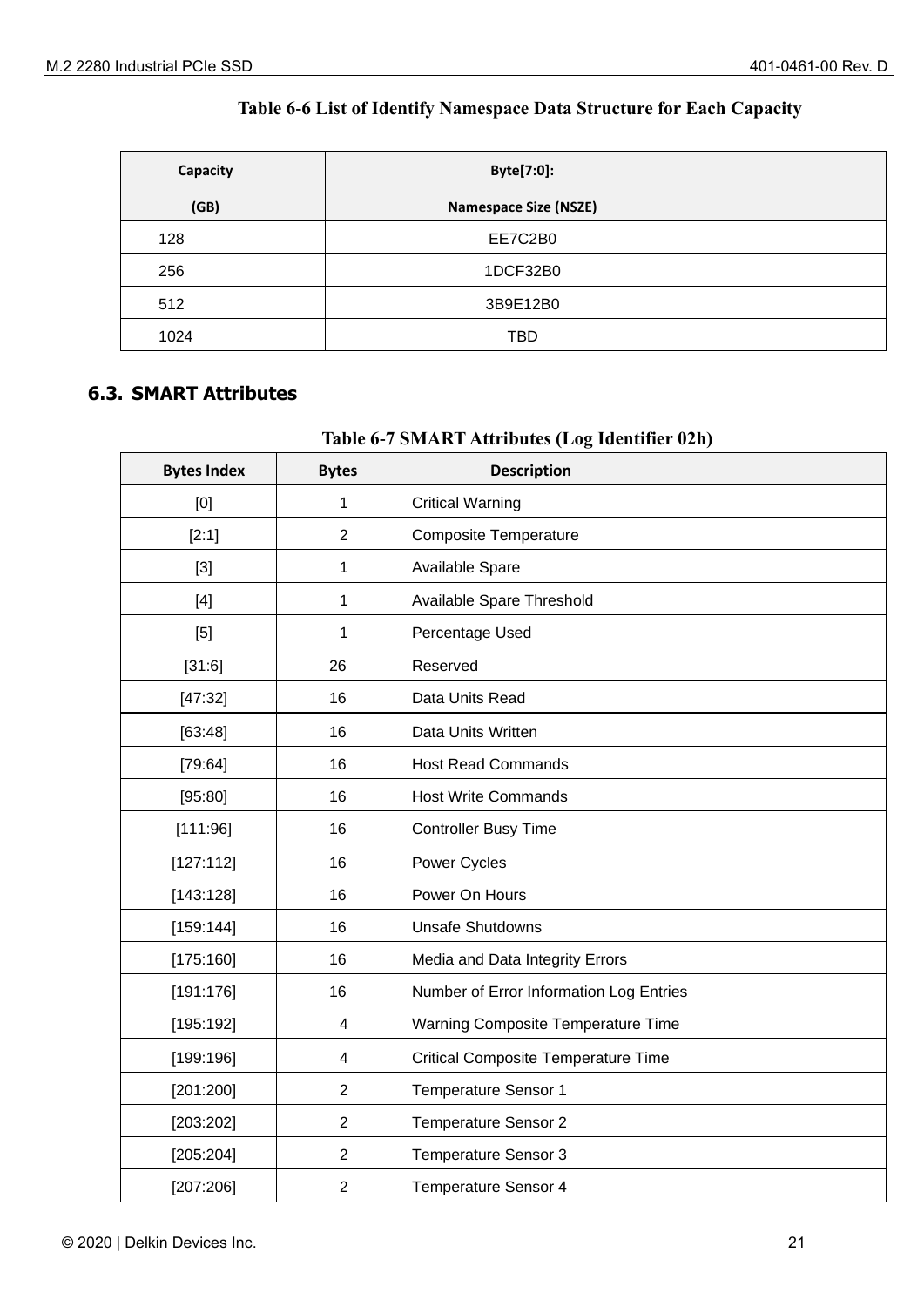#### **Table 6-6 List of Identify Namespace Data Structure for Each Capacity**

| Capacity | Byte[7:0]:                   |  |
|----------|------------------------------|--|
| (GB)     | <b>Namespace Size (NSZE)</b> |  |
| 128      | EE7C2B0                      |  |
| 256      | 1DCF32B0                     |  |
| 512      | 3B9E12B0                     |  |
| 1024     | <b>TBD</b>                   |  |

#### <span id="page-20-0"></span>**6.3. SMART Attributes**

#### **Table 6-7 SMART Attributes (Log Identifier 02h)**

| <b>Bytes Index</b> | <b>Bytes</b>   | <b>Description</b>                         |
|--------------------|----------------|--------------------------------------------|
| [0]                | 1              | <b>Critical Warning</b>                    |
| [2:1]              | $\overline{2}$ | <b>Composite Temperature</b>               |
| $[3]$              | 1              | Available Spare                            |
| $[4]$              | 1              | Available Spare Threshold                  |
| $[5]$              | 1              | Percentage Used                            |
| [31:6]             | 26             | Reserved                                   |
| [47:32]            | 16             | Data Units Read                            |
| [63:48]            | 16             | Data Units Written                         |
| [79:64]            | 16             | <b>Host Read Commands</b>                  |
| [95:80]            | 16             | <b>Host Write Commands</b>                 |
| [111:96]           | 16             | <b>Controller Busy Time</b>                |
| [127:112]          | 16             | Power Cycles                               |
| [143:128]          | 16             | Power On Hours                             |
| [159:144]          | 16             | <b>Unsafe Shutdowns</b>                    |
| [175:160]          | 16             | Media and Data Integrity Errors            |
| [191:176]          | 16             | Number of Error Information Log Entries    |
| [195:192]          | 4              | Warning Composite Temperature Time         |
| [199:196]          | 4              | <b>Critical Composite Temperature Time</b> |
| [201:200]          | $\overline{2}$ | Temperature Sensor 1                       |
| [203:202]          | $\overline{2}$ | Temperature Sensor 2                       |
| [205:204]          | $\overline{2}$ | <b>Temperature Sensor 3</b>                |
| [207:206]          | $\overline{2}$ | <b>Temperature Sensor 4</b>                |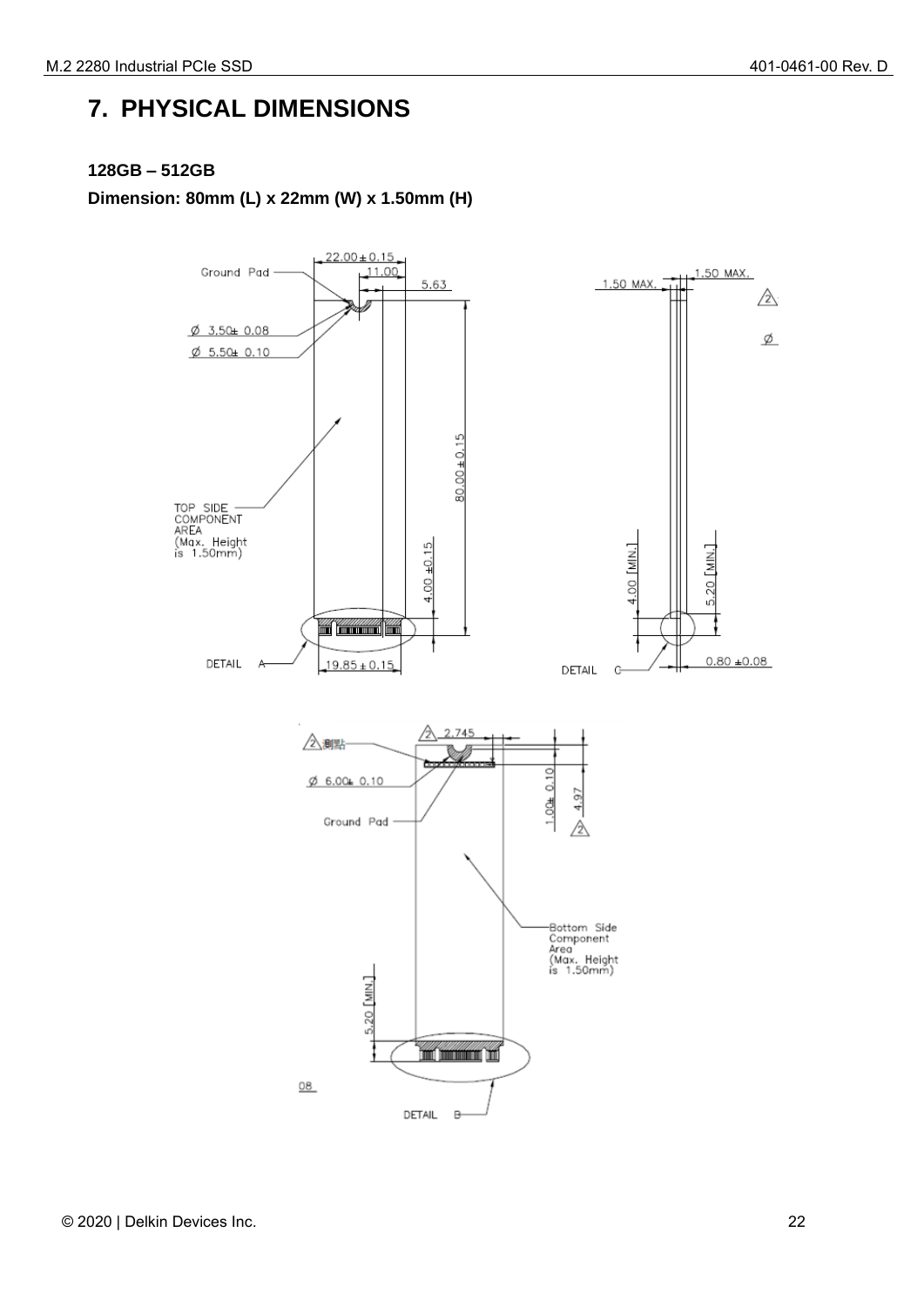## <span id="page-21-0"></span>**7. PHYSICAL DIMENSIONS**

#### **128GB – 512GB**

**Dimension: 80mm (L) x 22mm (W) x 1.50mm (H)** 

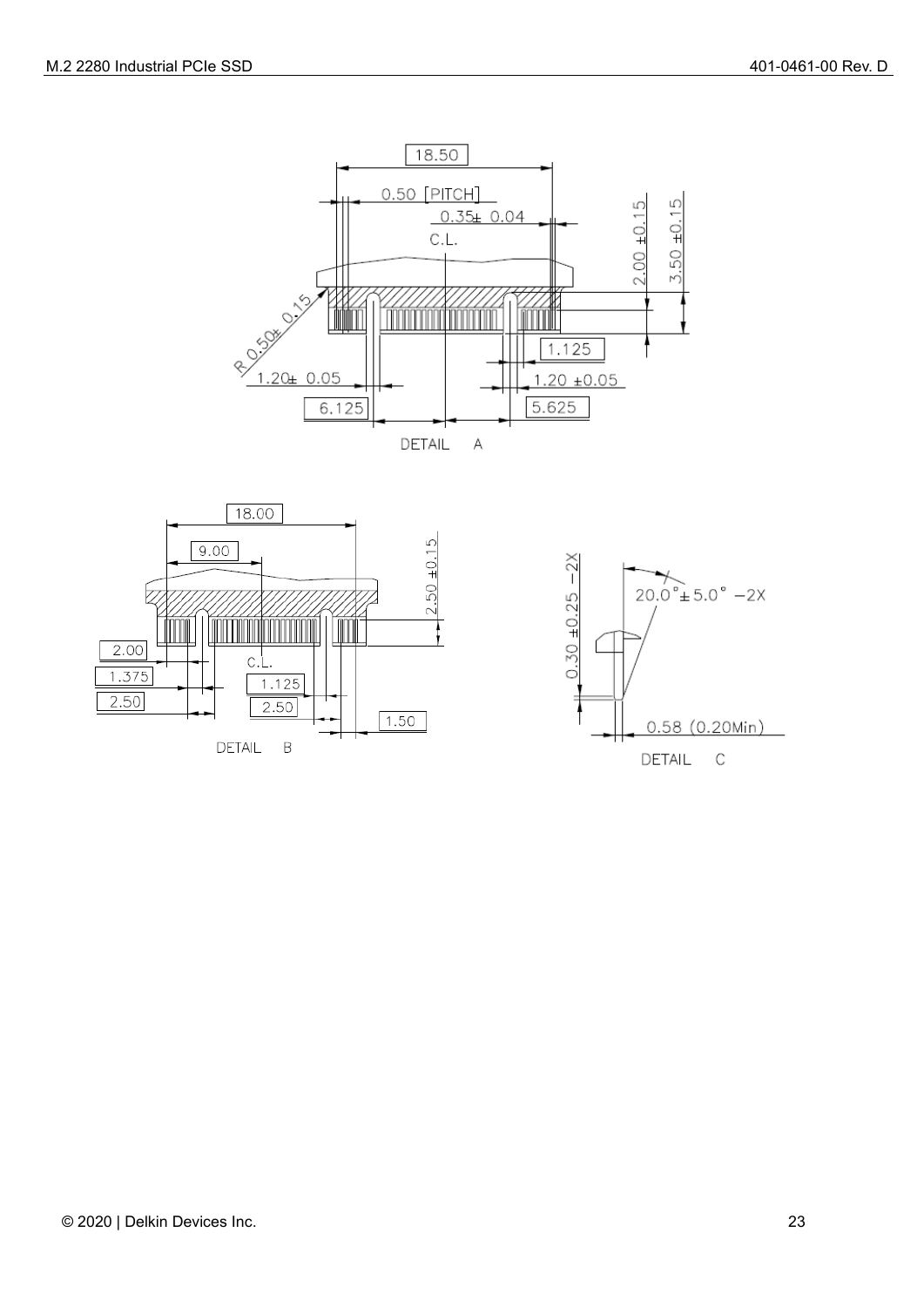



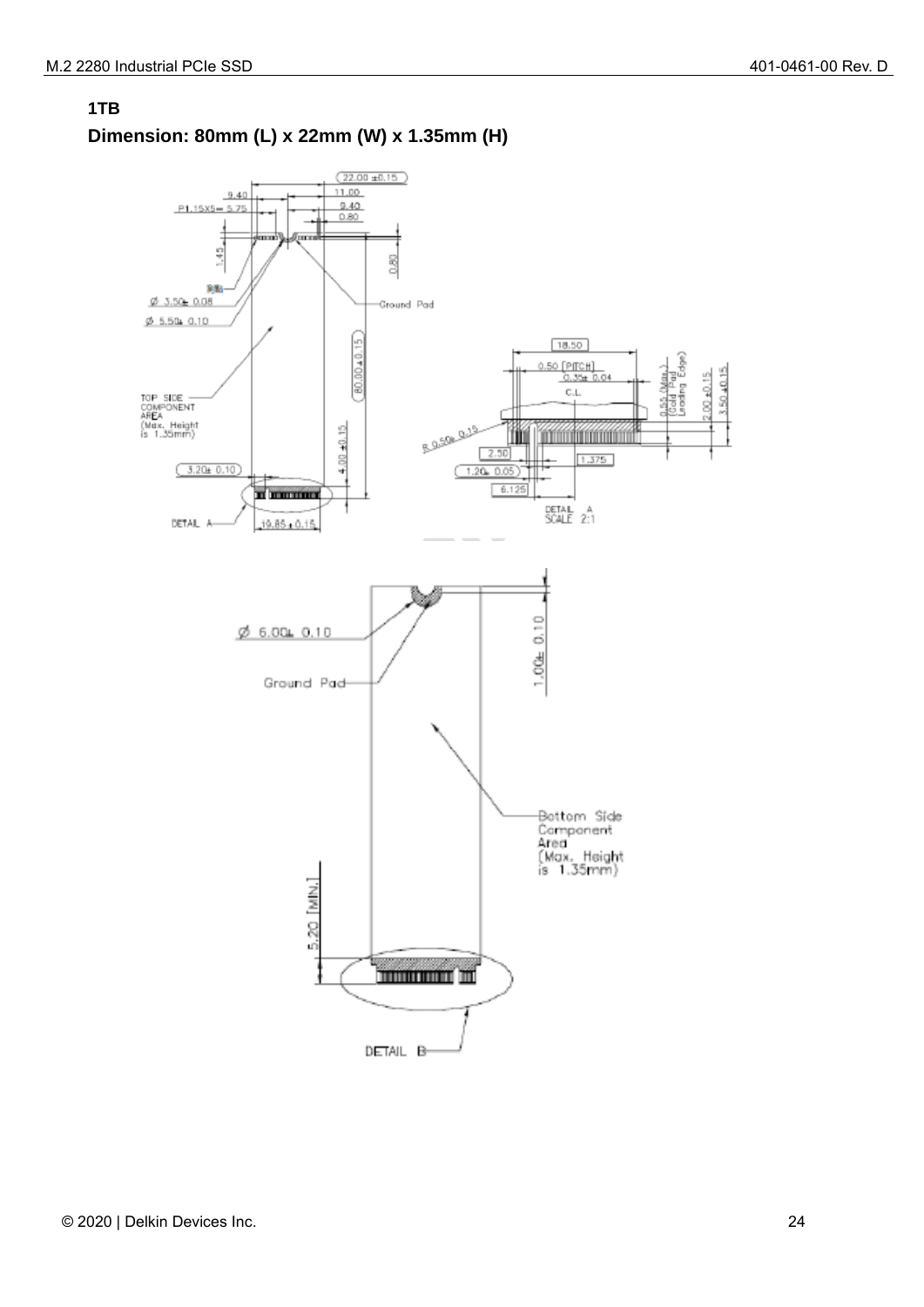

#### **1TB Dimension: 80mm (L) x 22mm (W) x 1.35mm (H)**